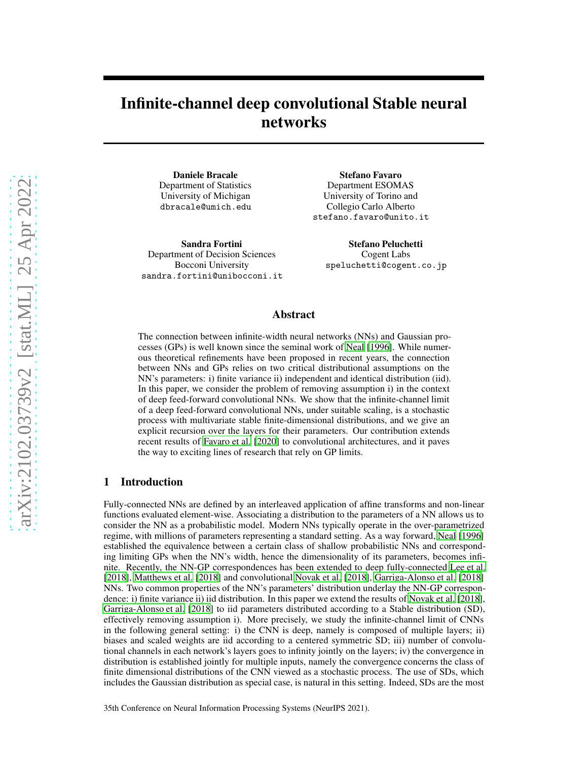# Infinite-channel deep convolutional Stable neural networks

Daniele Bracale Department of Statistics University of Michigan dbracale@umich.edu

Sandra Fortini Department of Decision Sciences Bocconi University sandra.fortini@unibocconi.it

Stefano Favaro Department ESOMAS University of Torino and Collegio Carlo Alberto stefano.favaro@unito.it

> Stefano Peluchetti Cogent Labs speluchetti@cogent.co.jp

### Abstract

The connection between infinite-width neural networks (NNs) and Gaussian processes (GPs) is well known since the seminal work of [Neal \[1996](#page-4-0)]. While numerous theoretical refinements have been proposed in recent years, the connection between NNs and GPs relies on two critical distributional assumptions on the NN's parameters: i) finite variance ii) independent and identical distribution (iid). In this paper, we consider the problem of removing assumption i) in the context of deep feed-forward convolutional NNs. We show that the infinite-channel limit of a deep feed-forward convolutional NNs, under suitable scaling, is a stochastic process with multivariate stable finite-dimensional distributions, and we give an explicit recursion over the layers for their parameters. Our contribution extends recent results of [Favaro et al.](#page-3-0) [\[2020\]](#page-3-0) to convolutional architectures, and it paves the way to exciting lines of research that rely on GP limits.

### 1 Introduction

Fully-connected NNs are defined by an interleaved application of affine transforms and non-linear functions evaluated element-wise. Associating a distribution to the parameters of a NN allows us to consider the NN as a probabilistic model. Modern NNs typically operate in the over-parametrized regime, with millions of parameters representing a standard setting. As a way forward, [Neal](#page-4-0) [\[1996\]](#page-4-0) established the equivalence between a certain class of shallow probabilistic NNs and corresponding limiting GPs when the NN's width, hence the dimensionality of its parameters, becomes infinite. Recently, the NN-GP correspondences has been extended to deep fully-connected [Lee et al.](#page-4-1) [\[2018\]](#page-4-1), [Matthews et al. \[2018\]](#page-4-2) and convolutional [Novak et al.](#page-4-3) [\[2018\]](#page-4-3), [Garriga-Alonso et al.](#page-4-4) [\[2018\]](#page-4-4) NNs. Two common properties of the NN's parameters' distribution underlay the NN-GP correspondence: i) finite variance ii) iid distribution. In this paper we extend the results of [Novak et al.](#page-4-3) [\[2018\]](#page-4-3), [Garriga-Alonso et al. \[2018\]](#page-4-4) to iid parameters distributed according to a Stable distribution (SD), effectively removing assumption i). More precisely, we study the infinite-channel limit of CNNs in the following general setting: i) the CNN is deep, namely is composed of multiple layers; ii) biases and scaled weights are iid according to a centered symmetric SD; iii) number of convolutional channels in each network's layers goes to infinity jointly on the layers; iv) the convergence in distribution is established jointly for multiple inputs, namely the convergence concerns the class of finite dimensional distributions of the CNN viewed as a stochastic process. The use of SDs, which includes the Gaussian distribution as special case, is natural in this setting. Indeed, SDs are the most

35th Conference on Neural Information Processing Systems (NeurIPS 2021).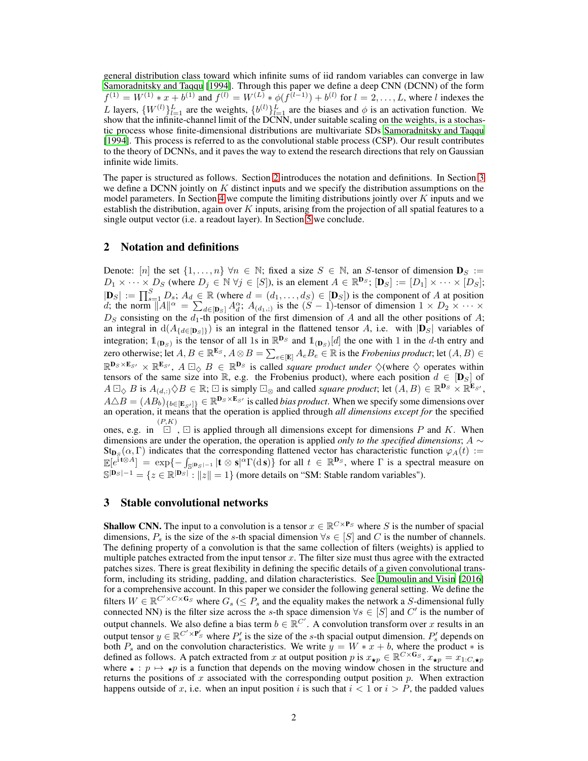general distribution class toward which infinite sums of iid random variables can converge in law [Samoradnitsky and Taqqu](#page-4-5) [\[1994\]](#page-4-5). Through this paper we define a deep CNN (DCNN) of the form  $f^{(1)} = W^{(1)} * x + b^{(1)}$  and  $f^{(l)} = W^{(L)} * \phi(f^{(l-1)}) + b^{(l)}$  for  $l = 2, ..., L$ , where l indexes the L layers,  $\{W^{(l)}\}_{l=1}^L$  are the weights,  $\{b^{(l)}\}_{l=1}^L$  are the biases and  $\phi$  is an activation function. We show that the infinite-channel limit of the DCNN, under suitable scaling on the weights, is a stochastic process whose finite-dimensional distributions are multivariate SDs [Samoradnitsky and Taqqu](#page-4-5) [\[1994\]](#page-4-5). This process is referred to as the convolutional stable process (CSP). Our result contributes to the theory of DCNNs, and it paves the way to extend the research directions that rely on Gaussian infinite wide limits.

The paper is structured as follows. Section [2](#page-1-0) introduces the notation and definitions. In Section [3](#page-1-1) we define a DCNN jointly on  $K$  distinct inputs and we specify the distribution assumptions on the model parameters. In Section [4](#page-2-0) we compute the limiting distributions jointly over  $K$  inputs and we establish the distribution, again over  $K$  inputs, arising from the projection of all spatial features to a single output vector (i.e. a readout layer). In Section [5](#page-3-1) we conclude.

### <span id="page-1-0"></span>2 Notation and definitions

Denote:  $[n]$  the set  $\{1,\ldots,n\}$   $\forall n \in \mathbb{N}$ ; fixed a size  $S \in \mathbb{N}$ , an S-tensor of dimension  $\mathbf{D}_S :=$  $D_1 \times \cdots \times D_S$  (where  $D_j \in \mathbb{N} \ \forall j \in [S]$ ), is an element  $A \in \mathbb{R}^{\mathbf{D}_S}$ ;  $[\mathbf{D}_S] := [D_1] \times \cdots \times [D_S]$ ;  $|\mathbf{D}_S| := \prod_{s=1}^S D_s$ ;  $A_d \in \mathbb{R}$  (where  $d = (d_1, \dots, d_S) \in [\mathbf{D}_S]$ ) is the component of A at position d; the norm  $||A||^{\alpha} = \sum_{d \in [\mathbf{D}_S]} A_d^{\alpha}$ ;  $A_{(d_1,:)}$  is the  $(S-1)$ -tensor of dimension  $1 \times D_2 \times \cdots \times$  $D<sub>S</sub>$  consisting on the  $d<sub>1</sub>$ -th position of the first dimension of A and all the other positions of A; an integral in  $d(A_{\{d\in[\mathbf{D}_S]\}})$  is an integral in the flattened tensor A, i.e. with  $|\mathbf{D}_S|$  variables of integration;  $\mathbb{1}_{(\mathbf{D}_S)}$  is the tensor of all 1s in  $\mathbb{R}^{\mathbf{D}_S}$  and  $\mathbb{1}_{(\mathbf{D}_S)}[d]$  the one with 1 in the d-th entry and zero otherwise; let  $A, B \in \mathbb{R}^{\mathbf{E}_S}, A \otimes B = \sum_{e \in [\mathbf{E}]} A_e B_e \in \mathbb{R}$  is the *Frobenius product*; let  $(A, B) \in$  $\mathbb{R}^{\mathbf{D}_S \times \mathbf{E}_{S'}} \times \mathbb{R}^{\mathbf{E}_{S'}}$ ,  $A \square_{\diamondsuit} B \in \mathbb{R}^{\mathbf{D}_S}$  is called *square product under*  $\diamondsuit$  (where  $\diamondsuit$  operates within tensors of the same size into R, e.g. the Frobenius product), where each position  $d \in [\mathbf{D}_S]$  of  $A \boxdot_{\diamondsuit} B$  is  $A_{(d,:)} \diamondsuit B \in \mathbb{R}$ ;  $\boxdot$  is simply  $\boxdot_{\diamondsuit}$  and called *square product*; let  $(A, B) \in \mathbb{R}^{\mathbf{D}_S} \times \mathbb{R}^{\mathbf{E}_{S'}}$ ,  $A \triangle B = (AB_b)_{\{b \in [E_{S'}]\}} \in \mathbb{R}^{D_S \times E_{S'}}$  is called *bias product*. When we specify some dimensions over an operation, it means that the operation is applied through *all dimensions except for* the specified ones, e.g. in  $\Box$ ,  $\Box$  is applied through all dimensions except for dimensions P and K. When dimensions are under the operation, the operation is applied *only to the specified dimensions*; A ∼  $\text{St}_{\textbf{D}_S}(\alpha, \Gamma)$  indicates that the corresponding flattened vector has characteristic function  $\varphi_A(t) :=$  $\mathbb{E}[e^{\tilde{i}t\otimes A}] = \exp\{-\int_{\mathbb{S}^{|D_S|-1}} |t\otimes s|^{\alpha}\Gamma(\mathrm{d} s)\}\$  for all  $t \in \mathbb{R}^{\mathbf{D}_S}$ , where  $\Gamma$  is a spectral measure on

<span id="page-1-1"></span> $\mathbb{S}^{|\mathbf{D}_S|-1} = \{z \in \mathbb{R}^{|\mathbf{D}_S|} : ||z|| = 1\}$  (more details on "SM: Stable random variables").

### 3 Stable convolutional networks

**Shallow CNN.** The input to a convolution is a tensor  $x \in \mathbb{R}^{C \times P_S}$  where S is the number of spacial dimensions,  $P_s$  is the size of the s-th spacial dimension  $\forall s \in [S]$  and C is the number of channels. The defining property of a convolution is that the same collection of filters (weights) is applied to multiple patches extracted from the input tensor  $x$ . The filter size must thus agree with the extracted patches sizes. There is great flexibility in defining the specific details of a given convolutional transform, including its striding, padding, and dilation characteristics. See [Dumoulin and Visin](#page-3-2) [\[2016\]](#page-3-2) for a comprehensive account. In this paper we consider the following general setting. We define the filters  $W \in \mathbb{R}^{C' \times C \times G_S}$  where  $G_s \leq P_s$  and the equality makes the network a S-dimensional fully connected NN) is the filter size across the s-th space dimension  $\forall s \in [S]$  and C' is the number of output channels. We also define a bias term  $b \in \mathbb{R}^{C'}$ . A convolution transform over x results in an output tensor  $y \in \mathbb{R}^{C' \times P'_{S}}$  where  $P'_{s}$  is the size of the s-th spacial output dimension.  $P'_{s}$  depends on both  $P_s$  and on the convolution characteristics. We write  $y = W * x + b$ , where the product  $*$  is defined as follows. A patch extracted from x at output position p is  $x_{\star p} \in \mathbb{R}^{C \times G_S}$ ,  $x_{\star p} = x_{1:C, \star p}$ where  $\star : p \mapsto \star p$  is a function that depends on the moving window chosen in the structure and returns the positions of x associated with the corresponding output position  $p$ . When extraction happens outside of x, i.e. when an input position i is such that  $i < 1$  or  $i > P$ , the padded values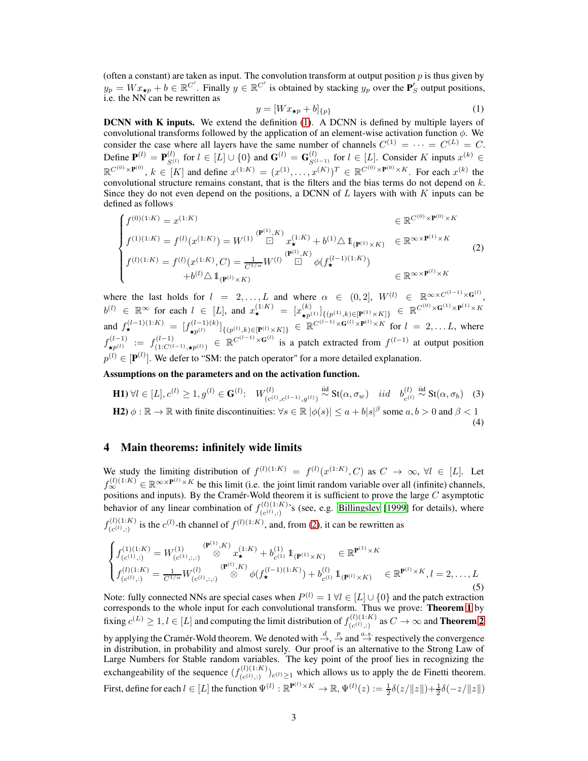(often a constant) are taken as input. The convolution transform at output position  $p$  is thus given by  $y_p = Wx_{\star p} + b \in \mathbb{R}^{C'}$ . Finally  $y \in \mathbb{R}^{C'}$  is obtained by stacking  $y_p$  over the  $\mathbf{P}'_S$  output positions, i.e. the NN can be rewritten as

<span id="page-2-4"></span><span id="page-2-1"></span>
$$
y = [Wx_{\star p} + b]_{\{p\}}\tag{1}
$$

**DCNN with K inputs.** We extend the definition [\(1\)](#page-2-1). A DCNN is defined by multiple layers of convolutional transforms followed by the application of an element-wise activation function  $\phi$ . We consider the case where all layers have the same number of channels  $C^{(1)} = \cdots = C^{(L)} = C$ . Define  $\mathbf{P}^{(l)} = \mathbf{P}_{S^{(l)}}^{(l)}$  $S^{(l)}_{S^{(l)}}$  for  $l \in [L] \cup \{0\}$  and  $\mathbf{G}^{(l)} = \mathbf{G}_{S^{(l-1)}}^{(l)}$  for  $l \in [L]$ . Consider K inputs  $x^{(k)} \in [L]$  $\mathbb{R}^{C^{(0)} \times \mathbf{P}^{(0)}}, k \in [K]$  and define  $x^{(1:K)} = (x^{(1)}, \dots, x^{(K)})^T \in \mathbb{R}^{C^{(0)} \times \mathbf{P}^{(0)} \times K}$ . For each  $x^{(k)}$  the convolutional structure remains constant, that is the filters and the bias terms do not depend on  $k$ . Since they do not even depend on the positions, a DCNN of  $L$  layers with with  $K$  inputs can be defined as follows

<span id="page-2-2"></span>
$$
\begin{cases}\nf^{(0)(1:K)} = x^{(1:K)} & \in \mathbb{R}^{C^{(0)} \times \mathbf{P}^{(0)} \times K} \\
f^{(1)(1:K)} = f^{(l)}(x^{(1:K)}) = W^{(1)} \stackrel{(\mathbf{P}^{(1)}, K)}{\Box} x_{\star}^{(1:K)} + b^{(1)} \triangle 1_{(\mathbf{P}^{(1)} \times K)} & \in \mathbb{R}^{\infty \times \mathbf{P}^{(1)} \times K} \\
f^{(l)(1:K)} = f^{(l)}(x^{(1:K)}, C) = \frac{1}{C^{1/\alpha}} W^{(l)} \stackrel{(\mathbf{P}^{(l)}, K)}{\Box} \phi(f_{\star}^{(l-1)(1:K)}) \\
\quad + b^{(l)} \triangle 1_{(\mathbf{P}^{(l)} \times K)} & \in \mathbb{R}^{\infty \times \mathbf{P}^{(l)} \times K}\n\end{cases}
$$
\n(2)

where the last holds for  $l = 2, ..., L$  and where  $\alpha \in (0,2]$ ,  $W^{(l)} \in \mathbb{R}^{\infty \times C^{(l-1)} \times G^{(l)}}$ ,  $b^{(l)} \in \mathbb{R}^{\infty}$  for each  $l \in [L]$ , and  $x^{(1:K)}_{\star} = [x^{(k)}_{\star p^{(1)}}]_{\{(p^{(1)},k)\in[\mathbf{P}^{(1)}\times K]\}} \in \mathbb{R}^{C^{(0)}\times \mathbf{G}^{(1)}\times \mathbf{P}^{(1)}\times K}$ and  $f_{\star}^{(l-1)(1:K)} = [f_{\star n^{(l)}}^{(l-1)(k)}]$  $\left[\mathbf{R}^{(l-1)(k)}\right]_{\{(p^{(l)},k)\in[\mathbf{P}^{(l)}\times K]\}} \in \mathbb{R}^{C^{(l-1)}\times\mathbf{G}^{(l)}\times\mathbf{P}^{(l)}\times K}$  for  $l=2,\ldots L$ , where  $f_{\pm n^{(l)}}^{(l-1)}$  $\star_{p^{(l)}}^{(l-1)} := f_{(1:C^{(l)}}^{(l-1)}$  $\mathcal{L}(l-1)$ <br>  $(1:C^{(l-1)},\star p^{(l)})$  ∈  $\mathbb{R}^{C^{(l-1)}\times G^{(l)}}$  is a patch extracted from  $f^{(l-1)}$  at output position  $p^{(l)} \in [\mathbf{P}^{(l)}]$ . We defer to "SM: the patch operator" for a more detailed explanation.

Assumptions on the parameters and on the activation function.

<span id="page-2-3"></span>**H1)** 
$$
\forall l \in [L], c^{(l)} \ge 1, g^{(l)} \in \mathbf{G}^{(l)}
$$
:  $W_{(c^{(l)}, c^{(l-1)}, g^{(l)})}^{(l)} \stackrel{\text{iid}}{\sim} \text{St}(\alpha, \sigma_w)$  *iid*  $b_{c^{(l)}}^{(l)} \stackrel{\text{iid}}{\sim} \text{St}(\alpha, \sigma_b)$  (3)  
\n**H2)**  $\phi : \mathbb{R} \to \mathbb{R}$  with finite discontinuities:  $\forall s \in \mathbb{R} |\phi(s)| \le a + b|s|^{\beta}$  some  $a, b > 0$  and  $\beta < 1$  (4)

### <span id="page-2-0"></span>4 Main theorems: infinitely wide limits

We study the limiting distribution of  $f^{(l)(1:K)} = f^{(l)}(x^{(1:K)}, C)$  as  $C \to \infty$ ,  $\forall l \in [L]$ . Let  $f_{\infty}^{(l)(1:K)} \in \mathbb{R}^{\infty \times P^{(l)} \times K}$  be this limit (i.e. the joint limit random variable over all (infinite) channels, positions and inputs). By the Cramér-Wold theorem it is sufficient to prove the large C asymptotic behavior of any linear combination of  $f_{(c_0(1), Y)}^{(l)(1:K)}$  $(c^{(l)}(l), \ldots, c^{(l)})$ 's (see, e.g. [Billingsley](#page-3-3) [\[1999\]](#page-3-3) for details), where  $f_{(c^{(l)}\,\cdot)}^{(l)(1:K)}$  $(c^{(l)}(l), c^{(l)})$  is the  $c^{(l)}$ -th channel of  $f^{(l)(1:K)}$ , and, from [\(2\)](#page-2-2), it can be rewritten as

<span id="page-2-5"></span>
$$
\begin{cases}\nf_{(c^{(1)},:)}^{(1)(1:K)} = W_{(c^{(1)},:,:)}^{(1)} \overset{\text{(P}^{(1)},K)}{\otimes} x_{\star}^{(1:K)} + b_{c^{(1)}}^{(1)} 1_{(\mathbf{P}^{(1)} \times K)} \in \mathbb{R}^{\mathbf{P}^{(1)} \times K} \\
f_{(c^{(1)},:)}^{(l)(1:K)} = \frac{1}{C^{1/\alpha}} W_{(c^{(l)},:,:)}^{(l)} \overset{\text{(P}^{(l)},K)}{\otimes} \phi(f_{\star}^{(l-1)(1:K)}) + b_{c^{(l)}}^{(l)} 1_{(\mathbf{P}^{(l)} \times K)} \in \mathbb{R}^{\mathbf{P}^{(l)} \times K}, l = 2, \dots, L\n\end{cases}
$$
\n(5)

Note: fully connected NNs are special cases when  $P^{(l)} = 1 \ \forall l \in [L] \cup \{0\}$  and the patch extraction corresponds to the whole input for each convolutional transform. Thus we prove: Theorem [1](#page-3-4) by fixing  $c^{(L)} \geq 1, l \in [L]$  and computing the limit distribution of  $f_{(c^{(1)}, 1)}^{(l)(1:K)}$  $\sum_{(c^{(1)};i)}^{(t)(1:K)}$  as  $C \rightarrow \infty$  and **Theorem [2](#page-3-5)** by applying the Cramér-Wold theorem. We denoted with  $\stackrel{d}{\to}$ ,  $\stackrel{p}{\to}$  and  $\stackrel{a.s.}{\to}$  respectively the convergence in distribution, in probability and almost surely. Our proof is an alternative to the Strong Law of Large Numbers for Stable random variables. The key point of the proof lies in recognizing the exchangeability of the sequence  $(f_{(c(l))}^{(l)(1:K)})$  $(c^{(l)}(l),i)$ <sub> $(c^{(l)},j)$ </sub> which allows us to apply the de Finetti theorem. First, define for each  $l \in [L]$  the function  $\Psi^{(l)} : \mathbb{R}^{\mathbf{P}^{(l)} \times K} \to \mathbb{R}, \Psi^{(l)}(z) := \frac{1}{2} \delta(z / ||z||) + \frac{1}{2} \delta(-z / ||z||)$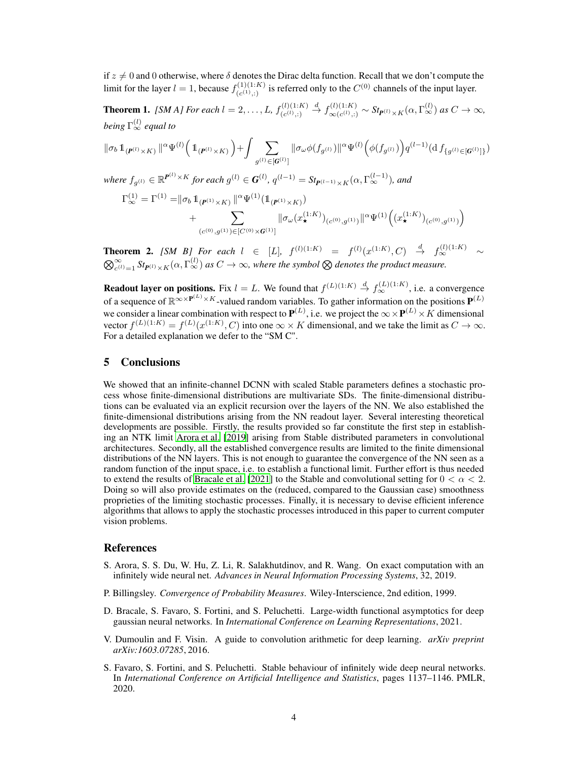if  $z \neq 0$  and 0 otherwise, where  $\delta$  denotes the Dirac delta function. Recall that we don't compute the limit for the layer  $l = 1$ , because  $f_{(c_{1}, c_{1})}^{(1)}$  $C^{(1)(1:K)}_{(c^{(1)},:)}$  is referred only to the  $C^{(0)}$  channels of the input layer.

<span id="page-3-4"></span>**Theorem 1.** *[SM A] For each*  $l = 2, ..., L$ ,  $f_{(c(l) - 1)}^{(l)(1:K)}$  $(c^{(l)}; ...)$  $\stackrel{d}{\rightarrow} f_{\infty(c^{(l)}\cdot)}^{(l)(1:K)}$  $\int_{\infty(c^{(l)}(t),t)}^{(l)(1:K)} \sim St_{\mathbf{P}^{(l)}\times K}(\alpha,\Gamma_{\infty}^{(l)}) \text{ as } C\to\infty,$ *being* Γ (l) <sup>∞</sup> *equal to*

$$
\begin{split} \|\sigma_b\,1_{(\pmb{P}^{(l)}\times K)}\,|^{\alpha}\Psi^{(l)}\Big(\,1_{(\pmb{P}^{(l)}\times K)}\,\Big) + \int \sum_{g^{(l)}\in [\pmb{G}^{(l)}]} \|\sigma_\omega\phi(f_{g^{(l)}})\|^\alpha\Psi^{(l)}\Big(\phi(f_{g^{(l)}})\Big) q^{(l-1)}(\mathrm{d}\,f_{\{g^{(l)}\in [\pmb{G}^{(l)}]\}})\\ \text{where } f_{g^{(l)}}\in \mathbb{R}^{\pmb{P}^{(l)}\times K} \text{ for each } g^{(l)}\in \pmb{G}^{(l)},\, q^{(l-1)} = St_{\pmb{P}^{(l-1)}\times K}(\alpha,\Gamma_\infty^{(l-1)}),\text{ and}\\ \Gamma_\infty^{(1)} = \Gamma^{(1)} = & \|\sigma_b\,1_{(\pmb{P}^{(1)}\times K)}\,|^{\alpha}\Psi^{(1)}\big(1_{(\pmb{P}^{(1)}\times K)}\big)\\ &+ \sum_{(c^{(0)},g^{(1)})\in [C^{(0)}\times \pmb{G}^{(1)}]} \|\sigma_\omega(x_\star^{(1:K)})_{(c^{(0)},g^{(1)})}\|^\alpha\Psi^{(1)}\Big((x_\star^{(1:K)})_{(c^{(0)},g^{(1)})}\Big) \end{split}
$$

<span id="page-3-5"></span>**Theorem 2.** *[SM B] For each*  $l \in [L]$ ,  $f^{(l)(1:K)} = f^{(l)}(x^{(1:K)}, C) \stackrel{d}{\to} f^{(l)(1:K)}_{\infty} \sim$  $\bigotimes_{c^{(l)}=1}^{\infty}$  *St<sub>P</sub>*(*i*)  $\times$  K( $\alpha$ ,  $\Gamma_{\infty}^{(l)}$ ) as  $C\to\infty$ , where the symbol  $\otimes$  denotes the product measure.

**Readout layer on positions.** Fix  $l = L$ . We found that  $f^{(L)(1:K)} \stackrel{d}{\to} f^{(L)(1:K)}_{\infty}$ , i.e. a convergence of a sequence of  $\mathbb{R}^{\infty} \times P^{(L)} \times K$ -valued random variables. To gather information on the positions  $\mathbf{P}^{(L)}$ we consider a linear combination with respect to  $\mathbf{P}^{(L)}$ , i.e. we project the  $\infty \times \mathbf{P}^{(L)} \times K$  dimensional vector  $f^{(L)(1:K)} = f^{(L)}(x^{(1:K)}, C)$  into one  $\infty \times K$  dimensional, and we take the limit as  $C \to \infty$ . For a detailed explanation we defer to the "SM C".

### <span id="page-3-1"></span>5 Conclusions

We showed that an infinite-channel DCNN with scaled Stable parameters defines a stochastic process whose finite-dimensional distributions are multivariate SDs. The finite-dimensional distributions can be evaluated via an explicit recursion over the layers of the NN. We also established the finite-dimensional distributions arising from the NN readout layer. Several interesting theoretical developments are possible. Firstly, the results provided so far constitute the first step in establishing an NTK limit [Arora et al. \[2019\]](#page-3-6) arising from Stable distributed parameters in convolutional architectures. Secondly, all the established convergence results are limited to the finite dimensional distributions of the NN layers. This is not enough to guarantee the convergence of the NN seen as a random function of the input space, i.e. to establish a functional limit. Further effort is thus needed to extend the results of [Bracale et al. \[2021\]](#page-3-7) to the Stable and convolutional setting for  $0 < \alpha < 2$ . Doing so will also provide estimates on the (reduced, compared to the Gaussian case) smoothness proprieties of the limiting stochastic processes. Finally, it is necessary to devise efficient inference algorithms that allows to apply the stochastic processes introduced in this paper to current computer vision problems.

#### References

- <span id="page-3-6"></span>S. Arora, S. S. Du, W. Hu, Z. Li, R. Salakhutdinov, and R. Wang. On exact computation with an infinitely wide neural net. *Advances in Neural Information Processing Systems*, 32, 2019.
- <span id="page-3-3"></span>P. Billingsley. *Convergence of Probability Measures*. Wiley-Interscience, 2nd edition, 1999.
- <span id="page-3-7"></span>D. Bracale, S. Favaro, S. Fortini, and S. Peluchetti. Large-width functional asymptotics for deep gaussian neural networks. In *International Conference on Learning Representations*, 2021.
- <span id="page-3-2"></span>V. Dumoulin and F. Visin. A guide to convolution arithmetic for deep learning. *arXiv preprint arXiv:1603.07285*, 2016.
- <span id="page-3-0"></span>S. Favaro, S. Fortini, and S. Peluchetti. Stable behaviour of infinitely wide deep neural networks. In *International Conference on Artificial Intelligence and Statistics*, pages 1137–1146. PMLR, 2020.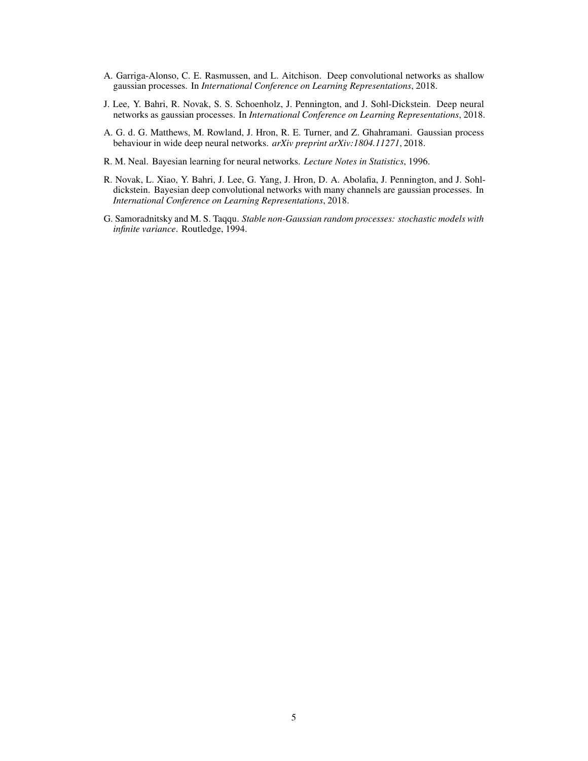- <span id="page-4-4"></span>A. Garriga-Alonso, C. E. Rasmussen, and L. Aitchison. Deep convolutional networks as shallow gaussian processes. In *International Conference on Learning Representations*, 2018.
- <span id="page-4-1"></span>J. Lee, Y. Bahri, R. Novak, S. S. Schoenholz, J. Pennington, and J. Sohl-Dickstein. Deep neural networks as gaussian processes. In *International Conference on Learning Representations*, 2018.
- <span id="page-4-2"></span>A. G. d. G. Matthews, M. Rowland, J. Hron, R. E. Turner, and Z. Ghahramani. Gaussian process behaviour in wide deep neural networks. *arXiv preprint arXiv:1804.11271*, 2018.
- <span id="page-4-0"></span>R. M. Neal. Bayesian learning for neural networks. *Lecture Notes in Statistics*, 1996.
- <span id="page-4-3"></span>R. Novak, L. Xiao, Y. Bahri, J. Lee, G. Yang, J. Hron, D. A. Abolafia, J. Pennington, and J. Sohldickstein. Bayesian deep convolutional networks with many channels are gaussian processes. In *International Conference on Learning Representations*, 2018.
- <span id="page-4-5"></span>G. Samoradnitsky and M. S. Taqqu. *Stable non-Gaussian random processes: stochastic models with infinite variance*. Routledge, 1994.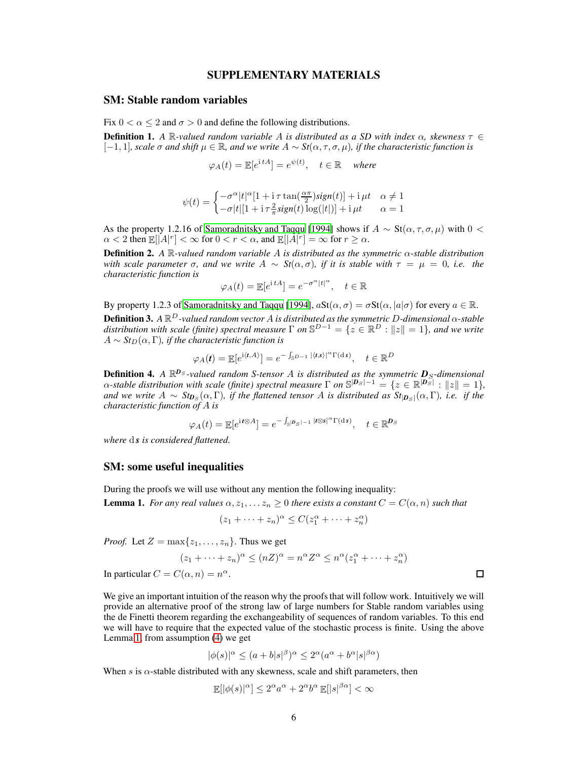### SUPPLEMENTARY MATERIALS

### SM: Stable random variables

Fix  $0 < \alpha < 2$  and  $\sigma > 0$  and define the following distributions.

**Definition 1.** A  $\mathbb{R}$ -valued random variable A is distributed as a SD with index  $\alpha$ , skewness  $\tau \in$  $[-1, 1]$ *, scale*  $\sigma$  *and shift*  $\mu \in \mathbb{R}$ *, and we write*  $A ∼ St(\alpha, \tau, \sigma, \mu)$ *, if the characteristic function is* 

 $\varphi_A(t) = \mathbb{E}[e^{\mathrm{i} t A}] = e^{\psi(t)}, \quad t \in \mathbb{R} \quad \text{ where }$ 

$$
\psi(t) = \begin{cases}\n-\sigma^{\alpha}|t|^{\alpha}[1 + \mathrm{i}\,\tau\tan(\frac{\alpha\pi}{2})\mathrm{sign}(t)] + \mathrm{i}\,\mu t & \alpha \neq 1 \\
-\sigma|t|[1 + \mathrm{i}\,\tau\frac{2}{\pi}\mathrm{sign}(t)\log(|t|)] + \mathrm{i}\,\mu t & \alpha = 1\n\end{cases}
$$

As the property 1.2.16 of [Samoradnitsky and Taqqu \[1994\]](#page-4-5) shows if  $A \sim St(\alpha, \tau, \sigma, \mu)$  with 0 <  $\alpha < 2$  then  $\mathbb{E}[|A|^r] < \infty$  for  $0 < r < \alpha$ , and  $\mathbb{E}[|A|^r] = \infty$  for  $r \ge \alpha$ .

Definition 2. *A* R*-valued random variable* A *is distributed as the symmetric* α*-stable distribution with scale parameter*  $\sigma$ *, and we write*  $A \sim St(\alpha, \sigma)$ *, if it is stable with*  $\tau = \mu = 0$ *, i.e. the characteristic function is*

$$
\varphi_A(t) = \mathbb{E}[e^{\mathrm{i} t A}] = e^{-\sigma^\alpha |t|^\alpha}, \quad t \in \mathbb{R}
$$

By property 1.2.3 of [Samoradnitsky and Taqqu \[1994](#page-4-5)],  $aSt(\alpha, \sigma) = \sigma St(\alpha, |a|\sigma)$  for every  $a \in \mathbb{R}$ . Definition 3. *A* R <sup>D</sup>*-valued random vector* A *is distributed as the symmetric* D*-dimensional* α*-stable* distribution with scale (finite) spectral measure  $\Gamma$  on  $\mathbb{S}^{D-1} = \{z \in \mathbb{R}^D : ||z|| = 1\}$ , and we write  $A \sim St_D(\alpha, \Gamma)$ , if the characteristic function is

$$
\varphi_A(t) = \mathbb{E}[e^{\mathrm{i}\langle t, A \rangle}] = e^{-\int_{\mathbb{S}^{D-1}} |\langle t, s \rangle|^{\alpha} \Gamma(\mathrm{d} s)}, \quad t \in \mathbb{R}^D
$$

**Definition 4.** A  $\mathbb{R}^{D_S}$ -valued random S-tensor A is distributed as the symmetric  $D_S$ -dimensional  $\alpha$ -stable distribution with scale (finite) spectral measure  $\Gamma$  on  $\mathbb{S}^{|D_S|-1} = \{z \in \mathbb{R}^{|D_S|}: \|z\| = 1\}$ , and we write  $A \sim St_{D_S}(\alpha, \Gamma)$ , if the flattened tensor  $A$  is distributed as  $St_{|D_S|}(\alpha, \Gamma)$ , i.e. if the *characteristic function of* A *is*

$$
\varphi_A(t) = \mathbb{E}[e^{\mathrm{i}t\otimes A}] = e^{-\int_{\mathbb{S}}|D_S| - 1} \, |t\otimes s|^{\alpha} \Gamma(\mathrm{d} s), \quad t \in \mathbb{R}^{D_S}
$$

*where* d *s is considered flattened.*

### SM: some useful inequalities

During the proofs we will use without any mention the following inequality:

<span id="page-5-0"></span>**Lemma 1.** *For any real values*  $\alpha, z_1, \ldots z_n \geq 0$  *there exists a constant*  $C = C(\alpha, n)$  *such that* 

$$
(z_1 + \dots + z_n)^{\alpha} \le C(z_1^{\alpha} + \dots + z_n^{\alpha})
$$

*Proof.* Let  $Z = \max\{z_1, \ldots, z_n\}$ . Thus we get

$$
(z_1 + \dots + z_n)^{\alpha} \le (nZ)^{\alpha} = n^{\alpha} Z^{\alpha} \le n^{\alpha} (z_1^{\alpha} + \dots + z_n^{\alpha})
$$
  

$$
C(\alpha, n) = n^{\alpha}
$$

In particular  $C = C(\alpha, n) = n^{\alpha}$ .

We give an important intuition of the reason why the proofs that will follow work. Intuitively we will provide an alternative proof of the strong law of large numbers for Stable random variables using the de Finetti theorem regarding the exchangeability of sequences of random variables. To this end we will have to require that the expected value of the stochastic process is finite. Using the above Lemma [1,](#page-5-0) from assumption [\(4\)](#page-2-3) we get

$$
|\phi(s)|^{\alpha} \le (a+b|s|^{\beta})^{\alpha} \le 2^{\alpha}(a^{\alpha}+b^{\alpha}|s|^{\beta\alpha})
$$

When s is  $\alpha$ -stable distributed with any skewness, scale and shift parameters, then

$$
\mathbb{E}[|\phi(s)|^{\alpha}] \le 2^{\alpha} a^{\alpha} + 2^{\alpha} b^{\alpha} \mathbb{E}[|s|^{\beta \alpha}] < \infty
$$

 $\Box$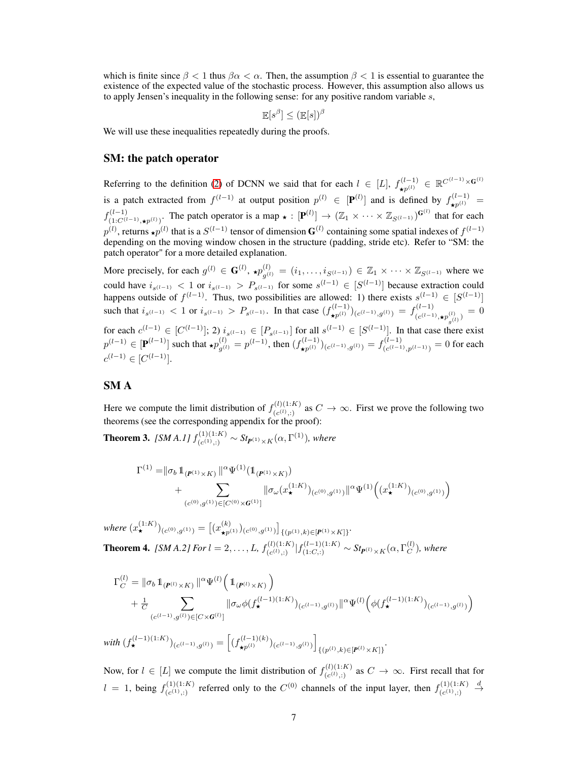which is finite since  $\beta < 1$  thus  $\beta \alpha < \alpha$ . Then, the assumption  $\beta < 1$  is essential to guarantee the existence of the expected value of the stochastic process. However, this assumption also allows us to apply Jensen's inequality in the following sense: for any positive random variable  $s$ ,

$$
\mathop{\mathbb{E}}[s^{\beta}] \leq (\mathop{\mathbb{E}}[s])^{\beta}
$$

We will use these inequalities repeatedly during the proofs.

### SM: the patch operator

Referring to the definition [\(2\)](#page-2-2) of DCNN we said that for each  $l \in [L]$ ,  $f_{\star p^{(l)}}^{(l-1)} \in \mathbb{R}^{C^{(l-1)} \times G^{(l)}}$ is a patch extracted from  $f^{(l-1)}$  at output position  $p^{(l)} \in [\mathbf{P}^{(l)}]$  and is defined by  $f^{(l-1)}_{\star p^{(l)}} =$  $f^{(l-1)}_{\ell_1 \ldots \ell_{l}^{(l)}}$  $(1-C^{(l-1)})(1-C^{(l-1)})$ . The patch operator is a map  $\star : [\mathbf{P}^{(l)}] \to (\mathbb{Z}_1 \times \cdots \times \mathbb{Z}_{S^{(l-1)}})^{\mathbf{G}^{(l)}}$  that for each  $p^{(l)}$ , returns  $\star p^{(l)}$  that is a  $S^{(l-1)}$  tensor of dimension  $G^{(l)}$  containing some spatial indexes of  $f^{(l-1)}$ depending on the moving window chosen in the structure (padding, stride etc). Refer to "SM: the patch operator" for a more detailed explanation.

More precisely, for each  $g^{(l)} \in \mathbf{G}^{(l)}$ ,  $\star p_{\sigma^{(l)}}^{(l)}$  $g_{g^{(l)}}^{(l)} = (i_1, \ldots, i_{S^{(l-1)}}) \in \mathbb{Z}_1 \times \cdots \times \mathbb{Z}_{S^{(l-1)}}$  where we could have  $i_{s^{(l-1)}} < 1$  or  $i_{s^{(l-1)}} > P_{s^{(l-1)}}$  for some  $s^{(l-1)} \in [S^{(l-1)}]$  because extraction could happens outside of  $f^{(l-1)}$ . Thus, two possibilities are allowed: 1) there exists  $s^{(l-1)} \in [S^{(l-1)}]$ such that  $i_{s^{(l-1)}} < 1$  or  $i_{s^{(l-1)}} > P_{s^{(l-1)}}$ . In that case  $(f_{\star p^{(l)}}^{(l-1)})_{(c^{(l-1)},g^{(l)})} = f_{(c^{(l-1)})}^{(l-1)}$  $(e^{(l-1)} \cdot \star p_{\rho(l)}^{(l)}) = 0$ for each  $c^{(l-1)} \in [C^{(l-1)}]$ ; 2)  $i_{s^{(l-1)}} \in [P_{s^{(l-1)}}]$  for all  $s^{(l-1)} \in [S^{(l-1)}]$ . In that case there exist  $p^{(l-1)}$  ∈ [P<sup>(l-1)</sup>] such that  $\star p_{g^{(l)}}^{(l)} = p^{(l-1)}$ , then  $(f_{\star p^{(l)}}^{(l-1)})_{(c^{(l-1)},g^{(l)})} = f_{(c^{(l-1)})}^{(l-1)}$  $\binom{(l-1)}{(c^{(l-1)},p^{(l-1)})} = 0$  for each

# SM A

 $c^{(l-1)} \in [C^{(l-1)}].$ 

Here we compute the limit distribution of  $f_{(c^{(1)}\cdot)}^{(l)(1:K)}$  $(c^{(l)}(l),i)$  as  $C \to \infty$ . First we prove the following two theorems (see the corresponding appendix for the proof):

<span id="page-6-1"></span>**Theorem 3.** *[SM A.1]*  $f_{(c(1),1)}^{(1)(1:K)}$  $S_{(c^{(1)}, c)}^{(1)(1:K)}$  ∼  $St_{P^{(1)} × K}$ (α, Γ<sup>(1)</sup>), where

$$
\Gamma^{(1)} = ||\sigma_b 1\!\!1_{(P^{(1)} \times K)} ||^{\alpha} \Psi^{(1)}(1\!\!1_{(P^{(1)} \times K)})
$$
  
+ 
$$
\sum_{(c^{(0)}, g^{(1)}) \in [C^{(0)} \times G^{(1)}]} ||\sigma_\omega(x_\star^{(1:K)})_{(c^{(0)}, g^{(1)})} ||^{\alpha} \Psi^{(1)}\Big((x_\star^{(1:K)})_{(c^{(0)}, g^{(1)})}\Big)
$$

<span id="page-6-0"></span> $where \ (x_{\star}^{(1:K)})_{(c^{(0)},g^{(1)})} = \left[ (x_{\star p^{(1)}}^{(k)})_{(c^{(0)},g^{(1)})} \right]_{\{(p^{(1)},k)\in[P^{(1)}\times K]\}}.$ **Theorem 4.** *[SM A.2] For*  $l = 2, ..., L$ ,  $f_{(c_l(l), 1)}^{(l)(1:K)}$  $\sum_{(c^{(l)},i)}^{(l)(1:K)}|f_{(1:C,:)}^{(l-1)(1:K)} \sim St_{I\!\!P^{(l)}\times K}(\alpha,\Gamma_C^{(l)})$  $\binom{U}{C}$ , where

$$
\Gamma_C^{(l)} = \|\sigma_b \, 1\!\!1_{(\mathbf{P}^{(l)} \times K)} \, \|^{\alpha} \Psi^{(l)} \Big( \, 1\!\!1_{(\mathbf{P}^{(l)} \times K)} \Big) \n+ \frac{1}{C} \sum_{(c^{(l-1)}, g^{(l)}) \in [C \times \mathbf{G}^{(l)}]} \|\sigma_\omega \phi(f_\star^{(l-1)(1:K)})_{(c^{(l-1)}, g^{(l)})} \|^{\alpha} \Psi^{(l)} \Big( \phi(f_\star^{(l-1)(1:K)})_{(c^{(l-1)}, g^{(l)})} \Big)
$$

 $\text{with } (f_{\star}^{(l-1)(1:K)})_{(c^{(l-1)},g^{(l)})} = \left[ (f_{\star p^{(l)}}^{(l-1)(k)})_{(c^{(l-1)},g^{(l)})} \right]$  $\{(p^{(l)},k)\in[P^{(l)}\times K]\}$ <sup>.</sup>

Now, for  $l \in [L]$  we compute the limit distribution of  $f_{(c(l),.)}^{(l)(1:K)}$  $(c^{(l)}(l),i)$  as  $C \rightarrow \infty$ . First recall that for  $l = 1$ , being  $f_{(c^{(1)}, 1)}^{(1)(1:K)}$  $(c^{(1)}(c^{(1)}))$  referred only to the  $C^{(0)}$  channels of the input layer, then  $f^{(1)(1:K)}_{(c^{(1)}))}$  $(c^{(1)}; ...)$  $\stackrel{d}{\rightarrow}$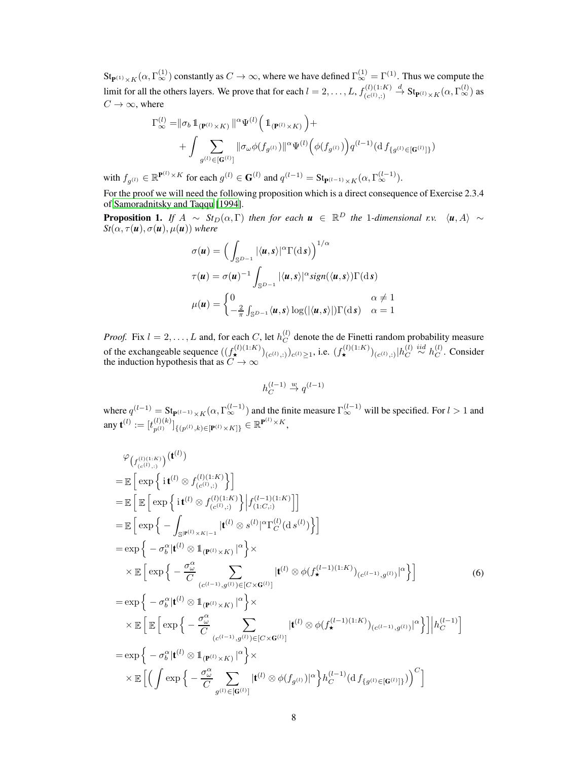$\mathop{\mathrm {St}}\nolimits_{\mathbf P^{(1)}\times K}(\alpha,\Gamma^{(1)}_\infty)$  constantly as  $C\to\infty$ , where we have defined  $\Gamma^{(1)}_\infty=\Gamma^{(1)}.$  Thus we compute the limit for all the others layers. We prove that for each  $l = 2, \ldots, L$ ,  $f_{(c(l), 1)}^{(l)(1:K)}$  $(c^{(l)}; ...)$  $\stackrel{d}{\to} \operatorname{St}_{\mathbf{P}^{(l)}\times K}(\alpha,\Gamma_{\infty}^{(l)})$  as  $C \rightarrow \infty$ , where

$$
\begin{aligned} \Gamma^{(l)}_\infty=&\|\sigma_b\,\mathbb{1}_{({\bf P}^{(l)}\times K)}\,\|^{\alpha}\Psi^{(l)}\Big(\,\mathbb{1}_{({\bf P}^{(l)}\times K)}\,\Big)+\\ &+\int\sum_{g^{(l)}\in[{\bf G}^{(l)}]} \|\sigma_\omega\phi(f_{g^{(l)}})\|^{\alpha}\Psi^{(l)}\Big(\phi(f_{g^{(l)}})\Big)q^{(l-1)}(\mathrm{d}\,f_{\{g^{(l)}\in[{\bf G}^{(l)}]\}})\end{aligned}
$$

with  $f_{g^{(l)}} \in \mathbb{R}^{p^{(l)} \times K}$  for each  $g^{(l)} \in G^{(l)}$  and  $q^{(l-1)} = St_{p^{(l-1)} \times K}(\alpha, \Gamma_{\infty}^{(l-1)})$ .

For the proof we will need the following proposition which is a direct consequence of Exercise 2.3.4 of [Samoradnitsky and Taqqu \[1994](#page-4-5)].

<span id="page-7-0"></span>**Proposition 1.** *If*  $A \sim St_D(\alpha, \Gamma)$  *then for each*  $u \in \mathbb{R}^D$  *the* 1*-dimensional r.v.*  $\langle u, A \rangle \sim$  $St(\alpha, \tau(\boldsymbol{u}), \sigma(\boldsymbol{u}), \mu(\boldsymbol{u}))$  *where* 

$$
\sigma(\mathbf{u}) = \left(\int_{\mathbb{S}^{D-1}} |\langle \mathbf{u}, s \rangle|^\alpha \Gamma(\mathrm{d} s)\right)^{1/\alpha}
$$

$$
\tau(\mathbf{u}) = \sigma(\mathbf{u})^{-1} \int_{\mathbb{S}^{D-1}} |\langle \mathbf{u}, s \rangle|^\alpha \mathrm{sign}(\langle \mathbf{u}, s \rangle) \Gamma(\mathrm{d} s)
$$

$$
\mu(\mathbf{u}) = \begin{cases} 0 & \alpha \neq 1\\ -\frac{2}{\pi} \int_{\mathbb{S}^{D-1}} \langle \mathbf{u}, s \rangle \log(|\langle \mathbf{u}, s \rangle|) \Gamma(\mathrm{d} s) & \alpha = 1 \end{cases}
$$

*Proof.* Fix  $l = 2, \ldots, L$  and, for each C, let  $h_C^{(l)}$  $\mathcal{C}$  denote the de Finetti random probability measure of the exchangeable sequence  $((f^{(l)(1:K)}_{\star})_{(c^{(l)},:)})_{c^{(l)}\geq 1}$ , i.e.  $(f^{(l)(1:K)}_{\star})_{(c^{(l)},:)}\vert h_C^{(l)}\vert$  $\stackrel{(l)}{C} \stackrel{iid}{\sim} h_C^{(l)}$  $C^{(i)}$ . Consider the induction hypothesis that as  $C \to \infty$ 

$$
h_C^{(l-1)} \overset{w}{\to} q^{(l-1)}
$$

<span id="page-7-1"></span>where  $q^{(l-1)} = \text{St}_{\mathbf{P}^{(l-1)} \times K}(\alpha, \Gamma_{\infty}^{(l-1)})$  and the finite measure  $\Gamma_{\infty}^{(l-1)}$  will be specified. For  $l > 1$  and any  $\mathbf{t}^{(l)} := [t_{n(l)}^{(l)(k)}]$  ${}_{p^{(l)}}^{(l)(k)}]_{\{(p^{(l)},k)\in[\mathbf{P}^{(l)}\times K]\}}\in\mathbb{R}^{\mathbf{P}^{(l)}\times K},$ 

$$
\varphi_{\left(f_{(c^{(l)}),1}^{(l)(1:K)}\right)}(\mathbf{t}^{(l)})
$$
\n
$$
= \mathbb{E}\left[\exp\left\{\mathbf{i}\mathbf{t}^{(l)}\otimes f_{(c^{(l)},1)}^{(l)(1:K)}\right\}\right]
$$
\n
$$
= \mathbb{E}\left[\mathbb{E}\left[\exp\left\{\mathbf{i}\mathbf{t}^{(l)}\otimes f_{(c^{(l)},1)}^{(l)(1:K)}\right\}\Big|f_{(1:C,:)}^{(l-1)(1:K)}\Big|\right]
$$
\n
$$
= \mathbb{E}\left[\exp\left\{-\int_{\mathbb{S}|\mathbf{F}^{(l)}\times K\left|-1}\Big|\mathbf{t}^{(l)}\otimes s^{(l)}\Big|^\alpha\Gamma_C^{(l)}(ds^{(l)})\Big|\right.\right]
$$
\n
$$
= \exp\left\{-\sigma_b^\alpha|\mathbf{t}^{(l)}\otimes \mathbf{1}_{(\mathbf{F}^{(l)}\times K)}\Big|^\alpha\right\} \times \mathbb{E}\left[\exp\left\{-\frac{\sigma_\omega^\alpha}{C}\sum_{(c^{(l-1)},g^{(l)})\in[C\times\mathbf{G}^{(l)}]}\Big|\mathbf{t}^{(l)}\otimes\phi(f_\star^{(l-1)(1:K)})(c^{(l-1)},g^{(l)})\Big|^\alpha\right.\right]
$$
\n
$$
= \exp\left\{-\sigma_b^\alpha|\mathbf{t}^{(l)}\otimes \mathbf{1}_{(\mathbf{F}^{(l)}\times K)}\Big|^\alpha\right\} \times \mathbb{E}\left[\mathbb{E}\left[\exp\left\{-\frac{\sigma_\omega^\alpha}{C}\sum_{(c^{(l-1)},g^{(l)})\in[C\times\mathbf{G}^{(l)}]}\Big|\mathbf{t}^{(l)}\otimes\phi(f_\star^{(l-1)(1:K)})(c^{(l-1)},g^{(l)})\Big|^\alpha\right.\right]\Big|h_{C}^{(l-1)}\right]
$$
\n
$$
= \exp\left\{-\sigma_b^\alpha|\mathbf{t}^{(l)}\otimes \mathbf{1}_{(\mathbf{F}^{(l)}\times K)}\Big|^\alpha\right\} \times \mathbb{E}\left[\left(\int \exp\left\{-\frac{\sigma_\omega^\alpha}{C}\sum_{g^{(l)}\in[\math
$$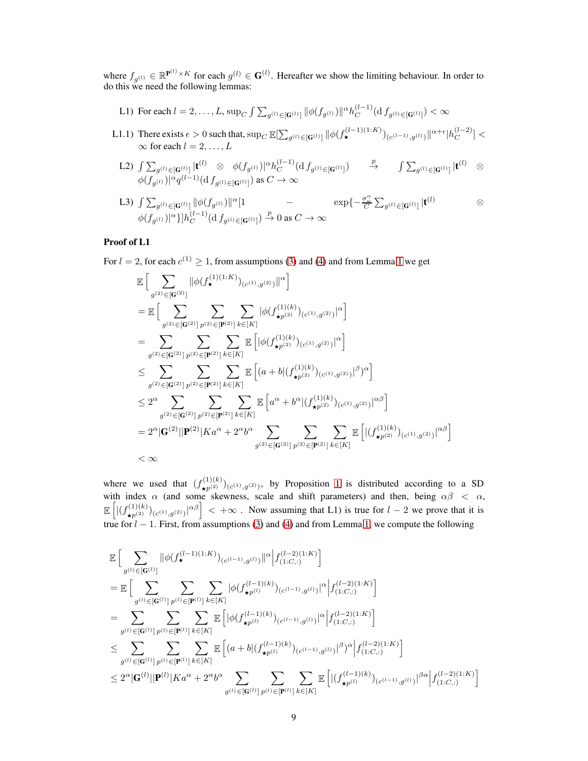where  $f_{g^{(l)}} \in \mathbb{R}^{\mathbf{P}^{(l)} \times K}$  for each  $g^{(l)} \in \mathbf{G}^{(l)}$ . Hereafter we show the limiting behaviour. In order to do this we need the following lemmas:

- L1) For each  $l = 2, ..., L$ ,  $\sup_C \int \sum_{g^{(l)} \in [\mathbf{G}^{(l)}]} ||\phi(f_{g^{(l)}})||^{\alpha} h_C^{(l-1)}$  $\int_C^{(l-1)} (\mathrm{d} f_{g^{(l)} \in [G^{(l)}]} ) < \infty$
- L1.1) There exists  $\epsilon > 0$  such that,  $\sup_C \mathbb{E}[\sum_{g^{(l)} \in [\mathbf{G}^{(l)}]} ||\phi(f_\star^{(l-1)(1:K)})_{(c^{(l-1)},g^{(l)})}||^{\alpha+\epsilon}|h_C^{(l-2)}$  $\binom{l-2}{C} <$  $\infty$  for each  $l = 2, \ldots, L$ 
	- L2)  $\int \sum_{g^{(l)} \in [\mathbf{G}^{(l)}]} | \mathbf{t}^{(l)} \quad \otimes \quad \phi(f_{g^{(l)}}) |^{\alpha} h_C^{(l-1)}$  $\int_{C}^{(l-1)}(\mathrm{d}\, f_{g^{(l)} \in [\mathbf{G}^{(l)}]}) \qquad \overset{p}{\rightarrow} \qquad \int \sum_{g^{(l)} \in [\mathbf{G}^{(l)}]} |\mathbf{t}^{(l)} \quad \otimes$  $\phi(f_{g^{(l)}})|^{\alpha}q^{(l-1)}(\mathrm{d}\, f_{g^{(l)}\in[\mathbf{G}^{(l)}]})$  as  $C\to\infty$
	- L3)  $\int \sum_{g^{(l)} \in [\mathbf{G}^{(l)}]} ||\phi(f_{g^{(l)}})||^{\alpha} [1$   $\exp \{-\frac{\sigma_{\omega}^{\alpha}}{C} \sum_{g^{(l)} \in [\mathbf{G}^{(l)}]} |\mathbf{t}^{(l)}$   $\otimes$  $\phi(f_{g^{(l)}})|^{\alpha}\}]h_C^{(l-1)}$  $C^{(l-1)}(\mathrm{d}\, f_{g^{(l)} \in [\mathbf{G}^{(l)}]}) \stackrel{p}{\to} 0$  as  $C \to \infty$

### Proof of L1

For  $l = 2$ , for each  $c^{(1)} \geq 1$  $c^{(1)} \geq 1$ , from assumptions [\(3\)](#page-2-4) and [\(4\)](#page-2-3) and from Lemma 1 we get

$$
\begin{split} &\mathbb{E}\Big[\sum_{g^{(2)}\in[\mathbf{G}^{(2)}]}\|\phi(f_{\star}^{(1)(1:K)})_{(c^{(1)},g^{(2)})}\|^\alpha\Big] \\ &=\mathbb{E}\Big[\sum_{g^{(2)}\in[\mathbf{G}^{(2)}]}\sum_{p^{(2)}\in[\mathbf{P}^{(2)}]}\sum_{k\in[K]}\phi(f_{\star p^{(2)}}^{(1)(k)})_{(c^{(1)},g^{(2)})}^\alpha\Big] \\ &=\sum_{g^{(2)}\in[\mathbf{G}^{(2)}]}\sum_{p^{(2)}\in[\mathbf{P}^{(2)}]}\sum_{k\in[K]}\mathbb{E}\left[\phi(f_{\star p^{(2)}}^{(1)(k)})_{(c^{(1)},g^{(2)})}^\alpha\right] \\ &\leq \sum_{g^{(2)}\in[\mathbf{G}^{(2)}]}\sum_{p^{(2)}\in[\mathbf{P}^{(2)}]}\sum_{k\in[K]}\mathbb{E}\left[(a+b|(f_{\star p^{(2)}}^{(1)(k)})_{(c^{(1)},g^{(2)})}|^\beta)^\alpha\right] \\ &\leq 2^\alpha \sum_{g^{(2)}\in[\mathbf{G}^{(2)}]}\sum_{p^{(2)}\in[\mathbf{P}^{(2)}]}\sum_{k\in[K]}\mathbb{E}\left[a^\alpha+b^\alpha|(f_{\star p^{(2)}}^{(1)(k)})_{(c^{(1)},g^{(2)})}|^{\alpha\beta}\right] \\ &=2^\alpha|\mathbf{G}^{(2)}||\mathbf{P}^{(2)}|Ka^\alpha+2^\alpha b^\alpha \sum_{g^{(2)}\in[\mathbf{G}^{(2)}]}\sum_{p^{(2)}\in[\mathbf{P}^{(2)}]}\sum_{k\in[K]}\mathbb{E}\left[\left|(f_{\star p^{(2)}}^{(1)(k)})_{(c^{(1)},g^{(2)})}\right|^{\alpha\beta}\right] \\ &<\infty \end{split}
$$

where we used that  $(f_{\star p^{(2)}}^{(1)(k)})_{(c^{(1)},g^{(2)})}$ , by Proposition [1](#page-7-0) is distributed according to a SD with index  $\alpha$  (and some skewness, scale and shift parameters) and then, being  $\alpha\beta < \alpha$ ,  $\mathbb{E}\left[\left|\left(f_{\mathbf{x}p^{(2)}}^{(1)(k)}\right)_{(c^{(1)},g^{(2)})}\right|^{\alpha\beta}\right]<+\infty$ . Now assuming that L1) is true for  $l-2$  we prove that it is true for  $l - 1$ . First, from assumptions [\(3\)](#page-2-4) and [\(4\)](#page-2-3) and from Lemma [1,](#page-5-0) we compute the following

$$
\mathbb{E}\Big[\sum_{g^{(l)}\in[\mathbf{G}^{(l)}]}\|\phi(f_{\star}^{(l-1)(1:K)})_{(c^{(l-1)},g^{(l)})}\|^{\alpha}\Big|f_{(1:C,:)}^{(l-2)(1:K)}\Big]
$$
\n
$$
=\mathbb{E}\Big[\sum_{g^{(l)}\in[\mathbf{G}^{(l)}]}\sum_{p^{(l)}\in[\mathbf{P}^{(l)}]}\sum_{k\in[K]}\sum_{k\in[k]}\left|\phi(f_{\star p^{(l)}}^{(l-1)(k)})_{(c^{(l-1)},g^{(l)})}\right|^{\alpha}\Big|f_{(1:C,:)}^{(l-2)(1:K)}\Big]
$$
\n
$$
=\sum_{g^{(l)}\in[\mathbf{G}^{(l)}]}\sum_{p^{(l)}\in[\mathbf{P}^{(l)}]}\sum_{k\in[K]}\mathbb{E}\Big[\Big|\phi(f_{\star p^{(l)}}^{(l-1)(k)})_{(c^{(l-1)},g^{(l)})}\Big|^{\alpha}\Big|f_{(1:C,:)}^{(l-2)(1:K)}\Big]
$$
\n
$$
\leq \sum_{g^{(l)}\in[\mathbf{G}^{(l)}]}\sum_{p^{(l)}\in[\mathbf{P}^{(l)}]}\sum_{k\in[K]}\mathbb{E}\Big[\Big(a+b\big|f_{\star p^{(l)}}^{(l-1)(k)}\big)_{(c^{(l-1)},g^{(l)})}\Big|^{\beta}\Big)^{\alpha}\Big|f_{(1:C,:)}^{(l-2)(1:K)}\Big]
$$
\n
$$
\leq 2^{\alpha}|\mathbf{G}^{(l)}||\mathbf{P}^{(l)}|Ka^{\alpha}+2^{\alpha}b^{\alpha}\sum_{g^{(l)}\in[\mathbf{G}^{(l)}]}\sum_{p^{(l)}\in[\mathbf{P}^{(l)}]}\sum_{k\in[K]}\mathbb{E}\Big[\big|(f_{\star p^{(l)}}^{(l-1)(k)})_{(c^{(l-1)},g^{(l)})}\big|^{\beta\alpha}\Big|f_{(1:C,:)}^{(l-2)(1:K)}\Big]
$$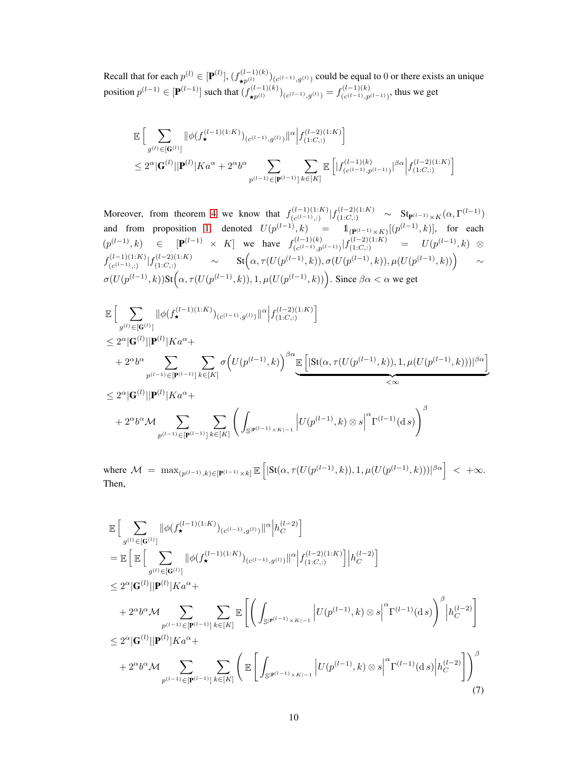Recall that for each  $p^{(l)} \in [\mathbf{P}^{(l)}], (f_{\star p^{(l)}}^{(l-1)(k)})_{(c^{(l-1)},g^{(l)})}$  could be equal to 0 or there exists an unique position  $p^{(l-1)} \in [\mathbf{P}^{(l-1)}]$  such that  $(f_{\star p^{(l)}}^{(l-1)(k)})_{(c^{(l-1)},g^{(l)})} = f_{(c^{(l-1)},p)}^{(l-1)(k)}$  $\binom{(l-1)(k)}{(c^{(l-1)},p^{(l-1)})}$ , thus we get

$$
\mathbb{E}\Big[\sum_{g^{(l)}\in[\mathbf{G}^{(l)}]}\|\phi(f_{\star}^{(l-1)(1:K)})_{(c^{(l-1)},g^{(l)})}\|^{\alpha}\Big|f_{(1:C,:)}^{(l-2)(1:K)}\Big] \leq 2^{\alpha}|\mathbf{G}^{(l)}||\mathbf{P}^{(l)}|Ka^{\alpha}+2^{\alpha}b^{\alpha}\sum_{p^{(l-1)}\in[\mathbf{P}^{(l-1)}]}\sum_{k\in[K]}\mathbb{E}\Big[|f_{(c^{(l-1)},p^{(l-1)})}^{(l-1)(k)}|^{\beta\alpha}\Big|f_{(1:C,:)}^{(l-2)(1:K)}\Big]
$$

Moreover, from theorem [4](#page-6-0) we know that  $f_{(c(l-1))}^{(l-1)(1:K)}$  $\frac{(\ell-1)(1:K)}{(c^{(l-1)});1}(f^{(l-2)(1:K)}_{(1:C,:)} \sim \text{St}_{\mathbf{P}^{(l-1)}\times K}(\alpha,\Gamma^{(l-1)})$ and from proposition [1,](#page-7-0) denoted  $U(p^{(l-1)}, k)$  =  $\mathbb{1}_{(\mathbf{P}^{(l-1)} \times K)}[(p^{(l-1)}, k)]$ , for each  $(p^{(l-1)}, k) \in [P^{(l-1)} \times K]$  we have  $f_{(c^{(l-1)}, n)}^{(l-1)(k)}$  $\frac{((l-1)(k)}{(c^{(l-1)},p^{(l-1)})}$ | $f^{(l-2)(1:K)}_{(1:C,:)}$  =  $U(p^{(l-1)},k)$  ⊗  $f_{(c(l-1),1)}^{(l-1)(1:K)}$  $\left\{ \begin{array}{l} \scriptstyle{-(l-1)(1:K)} \scriptstyle{(\mu-2)(1:K)} \ \scriptstyle{\sigma^{(l-1)}, \cdots, \sigma^{(l-1)(1:K)}} \end{array} \right. \qquad \sim \qquad \text{St}\Big(\alpha, \tau(U(p^{(l-1)},k)), \sigma(U(p^{(l-1)},k)), \mu(U(p^{(l-1)},k))\Big) \qquad \sim \qquad \qquad$  $\sigma(U(p^{(l-1)},k))$ St $(\alpha, \tau(U(p^{(l-1)},k)), 1, \mu(U(p^{(l-1)},k))$ . Since  $\beta\alpha < \alpha$  we get

$$
\label{eq:21} \begin{split} &\mathbb{E}\Big[\sum_{g^{(l)}\in [\mathbf{G}^{(l)}]}\|\phi(f_{\star}^{(l-1)(1:K)})_{(c^{(l-1)},g^{(l)})}\|^{\alpha}\Big|f_{(1:C,:)}^{(l-2)(1:K)}\Big]\\ &\leq 2^{\alpha}|\mathbf{G}^{(l)}||\mathbf{P}^{(l)}|Ka^{\alpha}+\\ &+2^{\alpha}b^{\alpha}\sum_{p^{(l-1)}\in [\mathbf{P}^{(l-1)}]}\sum_{k\in [K]}\sigma\Big(U(p^{(l-1)},k)\Big)^{\beta\alpha}\underline{\mathbb{E}}\Big[|\text{St}(\alpha,\tau(U(p^{(l-1)},k)),1,\mu(U(p^{(l-1)},k)))|^{\beta\alpha}\Big]\\ &\leq 2^{\alpha}|\mathbf{G}^{(l)}||\mathbf{P}^{(l)}|Ka^{\alpha}+\\ &+2^{\alpha}b^{\alpha}\mathcal{M}\sum_{p^{(l-1)}\in [\mathbf{P}^{(l-1)}]}\sum_{k\in [K]}\left(\int_{\mathbb{S}^{|\mathbf{P}^{(l-1)}|\times K|-1}}\left|U(p^{(l-1)},k)\otimes s\right|^{\alpha}\Gamma^{(l-1)}(\textup{d} s)\right)^{\beta} \end{split}
$$

<span id="page-9-0"></span>where  $M = \max_{(p^{(l-1)}, k) \in [\mathbf{P}^{(l-1)} \times k]} \mathbb{E} \left[ |\text{St}(\alpha, \tau(U(p^{(l-1)}, k)), 1, \mu(U(p^{(l-1)}, k)))|^{ \beta \alpha} \right] < +\infty.$ Then,

$$
\mathbb{E}\Big[\sum_{g^{(l)}\in[\mathbf{G}^{(l)}]}\|\phi(f_{\star}^{(l-1)(1:K)})_{(c^{(l-1)},g^{(l)})}\|^{\alpha}\Big|h_{C}^{(l-2)}\Big]
$$
\n
$$
=\mathbb{E}\Big[\mathbb{E}\Big[\sum_{g^{(l)}\in[\mathbf{G}^{(l)}]}\|\phi(f_{\star}^{(l-1)(1:K)})_{(c^{(l-1)},g^{(l)})}\|^{\alpha}\Big|f_{(1:C,:)}^{(l-2)(1:K)}\Big|h_{C}^{(l-2)}\Big]
$$
\n
$$
\leq 2^{\alpha}|\mathbf{G}^{(l)}||\mathbf{P}^{(l)}|Ka^{\alpha}+
$$
\n
$$
+2^{\alpha}b^{\alpha}\mathcal{M}\sum_{p^{(l-1)}\in[\mathbf{P}^{(l-1)}]}\sum_{k\in[K]}\mathbb{E}\Big[\Big(\int_{\mathbb{S}|\mathbf{P}^{(l-1)}\times K|-1}|U(p^{(l-1)},k)\otimes s\Big|^{\alpha}\Gamma^{(l-1)}(\mathrm{d} s)\Big)^{\beta}\Big|h_{C}^{(l-2)}\Big]
$$
\n
$$
\leq 2^{\alpha}|\mathbf{G}^{(l)}||\mathbf{P}^{(l)}|Ka^{\alpha}+
$$
\n
$$
+2^{\alpha}b^{\alpha}\mathcal{M}\sum_{p^{(l-1)}\in[\mathbf{P}^{(l-1)}]}\sum_{k\in[K]}\Bigg(\mathbb{E}\Big[\int_{\mathbb{S}|\mathbf{P}^{(l-1)}\times K|-1}|U(p^{(l-1)},k)\otimes s\Big|^{\alpha}\Gamma^{(l-1)}(\mathrm{d} s)\Big|h_{C}^{(l-2)}\Big]\Bigg)^{\beta}
$$
\n(7)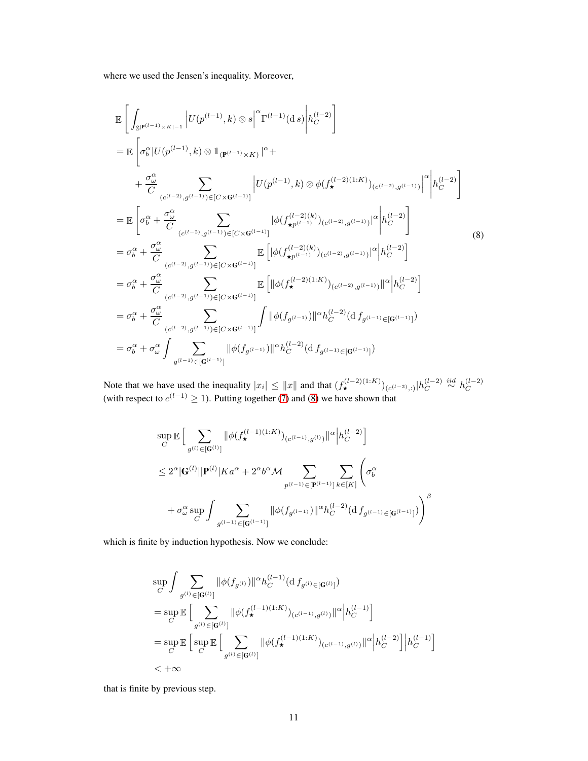<span id="page-10-0"></span>where we used the Jensen's inequality. Moreover,

$$
\mathbb{E}\left[\int_{\mathbb{S}|\mathbf{P}^{(l-1)}\times K|-1}\left|U(p^{(l-1)},k)\otimes s\right|^{\alpha}\Gamma^{(l-1)}(\mathrm{d}s)\right|h_{C}^{(l-2)}\right]
$$
\n
$$
=\mathbb{E}\left[\sigma_{b}^{\alpha}|U(p^{(l-1)},k)\otimes\mathbb{1}_{(\mathbf{P}^{(l-1)}\times K)}|^{\alpha}+\right.
$$
\n
$$
+\frac{\sigma_{\omega}^{\alpha}}{C}\sum_{(c^{(l-2)},g^{(l-1)})\in[C\times\mathbf{G}^{(l-1)}]} \left|U(p^{(l-1)},k)\otimes\phi(f_{\star}^{(l-2)(1:K)})_{(c^{(l-2)},g^{(l-1)})}\right|^{\alpha}\left|h_{C}^{(l-2)}\right]\right]
$$
\n
$$
=\mathbb{E}\left[\sigma_{b}^{\alpha}+\frac{\sigma_{\omega}^{\alpha}}{C}\sum_{(c^{(l-2)},g^{(l-1)})\in[C\times\mathbf{G}^{(l-1)}]} |\phi(f_{\star p^{(l-1)}}^{(l-2)(k)})_{(c^{(l-2)},g^{(l-1)})}|^{\alpha}\left|h_{C}^{(l-2)}\right]\right]
$$
\n
$$
=\sigma_{b}^{\alpha}+\frac{\sigma_{\omega}^{\alpha}}{C}\sum_{(c^{(l-2)},g^{(l-1)})\in[C\times\mathbf{G}^{(l-1)}]} \mathbb{E}\left[|\phi(f_{\star p^{(l-1)}}^{(l-2)(k)})_{(c^{(l-2)},g^{(l-1)})}|^{\alpha}\left|h_{C}^{(l-2)}\right]\right]
$$
\n
$$
=\sigma_{b}^{\alpha}+\frac{\sigma_{\omega}^{\alpha}}{C}\sum_{(c^{(l-2)},g^{(l-1)})\in[C\times\mathbf{G}^{(l-1)}]} \mathbb{E}\left[\|\phi(f_{\star}^{(l-2)(1:K)})_{(c^{(l-2)},g^{(l-1)})}|^{\alpha}\left|h_{C}^{(l-2)}\right]\right]
$$
\n
$$
=\sigma_{b}^{\alpha}+\frac{\sigma_{\omega}^{\alpha}}{C}\sum_{(c^{(l-2)},g^{(l-1)})\in[C\times\mathbf{G}^{(l-1)}]} \int \|\phi(f_{g^{(l-1)}})||^{\
$$

Note that we have used the inequality  $|x_i| \leq ||x||$  and that  $(f^{(l-2)(1:K)}_*(c^{(l-2)},))|h_C^{(l-2)}|$  $\stackrel{(l-2)}{C} \stackrel{iid}{\sim} h_C^{(l-2)}$  $\mathcal{C}_{0}^{(n)}$ (with respect to  $c^{(l-1)} \geq 1$ ). Putting together [\(7\)](#page-9-0) and [\(8\)](#page-10-0) we have shown that

$$
\begin{aligned} &\sup_{C}\mathbb{E}\Big[\sum_{g^{(l)}\in[\mathbf{G}^{(l)}]}\|\phi(f_{\star}^{(l-1)(1:K)})_{(c^{(l-1)},g^{(l)})}\|^{\alpha}\Big|h_{C}^{(l-2)}\Big]\\ &\leq 2^{\alpha}|\mathbf{G}^{(l)}||\mathbf{P}^{(l)}|K a^{\alpha}+2^{\alpha}b^{\alpha}\mathcal{M}\sum_{p^{(l-1)}\in[\mathbf{P}^{(l-1)}]}\sum_{k\in[K]}\Bigg(\sigma_{b}^{\alpha}\\ &+\sigma_{\omega}^{\alpha}\sup_{C}\int\sum_{g^{(l-1)}\in[\mathbf{G}^{(l-1)}]}\|\phi(f_{g^{(l-1)}})\|^{\alpha}h_{C}^{(l-2)}(\mathrm{d}\,f_{g^{(l-1)}\in[\mathbf{G}^{(l-1)}]})\Bigg)^{\beta}\end{aligned}
$$

which is finite by induction hypothesis. Now we conclude:

$$
\begin{split} &\sup_{C}\int\sum_{g^{(l)}\in[\mathbf{G}^{(l)}]} \lVert\phi(f_{g^{(l)}})\rVert^{\alpha}h_{C}^{(l-1)}(\mathrm{d}\,f_{g^{(l)}\in[\mathbf{G}^{(l)}]})\\ &=\sup_{C}\mathbb{E}\Big[\sum_{g^{(l)}\in[\mathbf{G}^{(l)}]} \lVert\phi(f_{\star}^{(l-1)(1:K)})_{(c^{(l-1)},g^{(l)})}\rVert^{\alpha}\Big|h_{C}^{(l-1)}\Big]\\ &=\sup_{C}\mathbb{E}\Big[\sup_{C}\mathbb{E}\Big[\sum_{g^{(l)}\in[\mathbf{G}^{(l)}]} \lVert\phi(f_{\star}^{(l-1)(1:K)})_{(c^{(l-1)},g^{(l)})}\rVert^{\alpha}\Big|h_{C}^{(l-2)}\Big]\Big|h_{C}^{(l-1)}\Big]\\ &<+\infty \end{split}
$$

that is finite by previous step.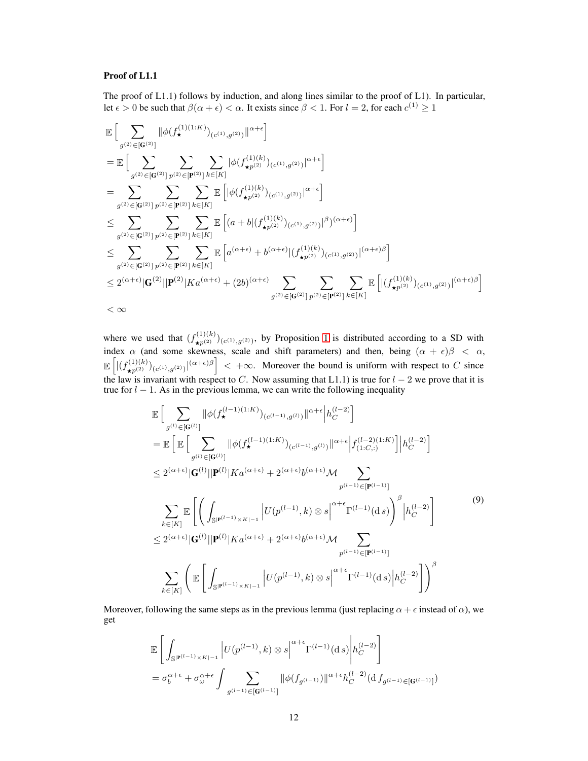### Proof of L1.1

The proof of L1.1) follows by induction, and along lines similar to the proof of L1). In particular, let  $\epsilon > 0$  be such that  $\beta(\alpha + \epsilon) < \alpha$ . It exists since  $\beta < 1$ . For  $l = 2$ , for each  $c^{(1)} \ge 1$ 

$$
\begin{split} &\mathbb{E}\Big[\sum_{g^{(2)}\in[\mathbf{G}^{(2)}]}\big\|\phi(f_{\star}^{(1)(1:K)})_{(c^{(1)},g^{(2)})}\big\|^{\alpha+\epsilon}\Big] \\ &=\mathbb{E}\Big[\sum_{g^{(2)}\in[\mathbf{G}^{(2)}]}\sum_{p^{(2)}\in[\mathbf{P}^{(2)}]}\sum_{k\in[K]}\big|\phi(f_{\star p^{(2)}}^{(1)(k)})_{(c^{(1)},g^{(2)})}\big|^{\alpha+\epsilon}\Big] \\ &=\sum_{g^{(2)}\in[\mathbf{G}^{(2)}]}\sum_{p^{(2)}\in[\mathbf{P}^{(2)}]}\sum_{k\in[K]}\mathbb{E}\left[\big|\phi(f_{\star p^{(2)}}^{(1)(k)})_{(c^{(1)},g^{(2)})}\big|^{\alpha+\epsilon}\right] \\ &\leq \sum_{g^{(2)}\in[\mathbf{G}^{(2)}]}\sum_{p^{(2)}\in[\mathbf{P}^{(2)}]}\sum_{k\in[K]}\mathbb{E}\left[(a+b|(f_{\star p^{(2)}}^{(1)(k)})_{(c^{(1)},g^{(2)})}\big|^{\beta})^{(\alpha+\epsilon)}\right] \\ &\leq \sum_{g^{(2)}\in[\mathbf{G}^{(2)}]}\sum_{p^{(2)}\in[\mathbf{P}^{(2)}]}\sum_{k\in[K]}\mathbb{E}\left[a^{(\alpha+\epsilon)}+b^{(\alpha+\epsilon)}|(f_{\star p^{(2)}}^{(1)(k)})_{(c^{(1)},g^{(2)})}\big|^{(\alpha+\epsilon)\beta}\right] \\ &\leq 2^{(\alpha+\epsilon)}|\mathbf{G}^{(2)}||\mathbf{P}^{(2)}|Ka^{(\alpha+\epsilon)}+(2b)^{(\alpha+\epsilon)}\sum_{g^{(2)}\in[\mathbf{G}^{(2)}]}\sum_{p^{(2)}\in[\mathbf{P}^{(2)}]}\sum_{k\in[K]}\mathbb{E}\left[\big|(f_{\star p^{(2)}}^{(1)(k)})_{(c^{(1)},g^{(2)})}\big|^{(\alpha+\epsilon)\beta}\right] \\ &<\infty \end{split}
$$

where we used that  $(f_{\star p^{(2)}}^{(1)(k)})_{(c^{(1)},g^{(2)})}$ , by Proposition [1](#page-7-0) is distributed according to a SD with index  $\alpha$  (and some skewness, scale and shift parameters) and then, being  $(\alpha + \epsilon)\beta < \alpha$ ,  $\mathbb{E}\left[\left|\left(f_{\star p^{(2)}}^{(1)(k)}\right)_{(c^{(1)},g^{(2)})}\right|^{(\alpha+\epsilon)\beta}\right] < +\infty$ . Moreover the bound is uniform with respect to C since the law is invariant with respect to C. Now assuming that L1.1) is true for  $l-2$  we prove that it is true for  $l - 1$ . As in the previous lemma, we can write the following inequality

<span id="page-11-0"></span>
$$
\mathbb{E}\Big[\sum_{g^{(l)}\in[\mathbf{G}^{(l)}]}\|\phi(f_{\star}^{(l-1)(1:K)})_{(c^{(l-1)},g^{(l)})}\|^{\alpha+\epsilon}\Big|h_{C}^{(l-2)}\Big]
$$
\n
$$
=\mathbb{E}\Big[\mathbb{E}\Big[\sum_{g^{(l)}\in[\mathbf{G}^{(l)}]}\|\phi(f_{\star}^{(l-1)(1:K)})_{(c^{(l-1)},g^{(l)})}\|^{\alpha+\epsilon}\Big|f_{(1:C,:)}^{(l-2)(1:K)}\Big|\Big|h_{C}^{(l-2)}\Big]
$$
\n
$$
\leq 2^{(\alpha+\epsilon)}|\mathbf{G}^{(l)}||\mathbf{P}^{(l)}|Ka^{(\alpha+\epsilon)} + 2^{(\alpha+\epsilon)}b^{(\alpha+\epsilon)}\mathcal{M}\sum_{p^{(l-1)}\in[\mathbf{P}^{(l-1)}]}\mathbb{E}\Big[\Big(\int_{\mathbb{S}^{|\mathbf{P}^{(l-1)}|}\times K|^{-1}}\Big|U(p^{(l-1)},k)\otimes s\Big|^{\alpha+\epsilon}\Gamma^{(l-1)}(\mathrm{d}\,s)\Big)^{\beta}\Big|h_{C}^{(l-2)}\Big]
$$
\n
$$
\leq 2^{(\alpha+\epsilon)}|\mathbf{G}^{(l)}||\mathbf{P}^{(l)}|Ka^{(\alpha+\epsilon)} + 2^{(\alpha+\epsilon)}b^{(\alpha+\epsilon)}\mathcal{M}\sum_{p^{(l-1)}\in[\mathbf{P}^{(l-1)}]}\mathbb{E}\Big[\int_{\mathbb{S}^{|\mathbf{P}^{(l-1)}|}\times K|^{-1}}\Big|U(p^{(l-1)},k)\otimes s\Big|^{\alpha+\epsilon}\Gamma^{(l-1)}(\mathrm{d}\,s)\Big|h_{C}^{(l-2)}\Big]\Big)^{\beta}
$$
\n(9)

Moreover, following the same steps as in the previous lemma (just replacing  $\alpha + \epsilon$  instead of  $\alpha$ ), we get

$$
\mathbb{E}\left[\int_{\mathbb{S}^{|\mathbf{P}^{(l-1)}\times K|-1}}\left|U(p^{(l-1)},k)\otimes s\right|^{\alpha+\epsilon}\Gamma^{(l-1)}(\mathrm{d}\,s)\right|h_C^{(l-2)}\right]
$$
  
=  $\sigma_b^{\alpha+\epsilon} + \sigma_{\omega}^{\alpha+\epsilon}\int \sum_{g^{(l-1)}\in[\mathbf{G}^{(l-1)}]} \|\phi(f_{g^{(l-1)}})\|^{\alpha+\epsilon}h_C^{(l-2)}(\mathrm{d}\,f_{g^{(l-1)}\in[\mathbf{G}^{(l-1)}]})$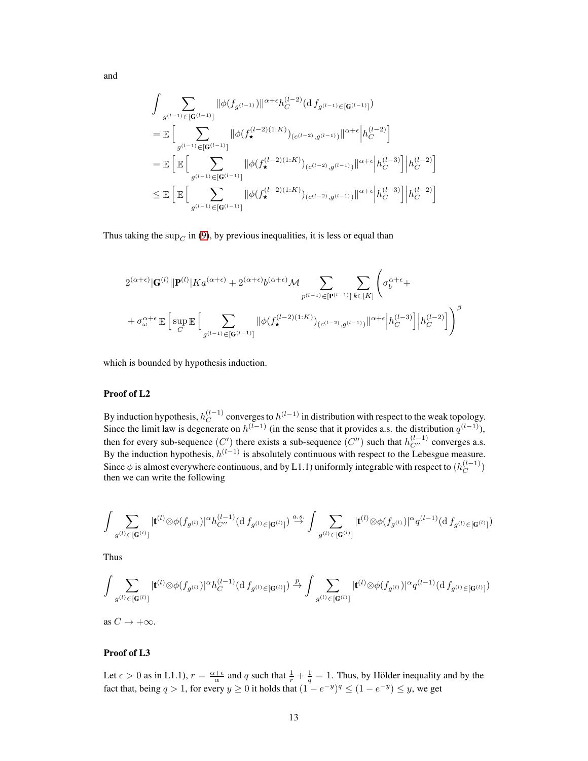and

$$
\begin{aligned} &\int \sum_{g^{(l-1)} \in [\mathbf{G}^{(l-1)}]} \lVert \phi(f_{g^{(l-1)}}) \rVert^{\alpha+\epsilon} h_C^{(l-2)}(\mathrm{d}\, f_{g^{(l-1)} \in [\mathbf{G}^{(l-1)}]}) \\ &= \mathbb{E} \Big[ \sum_{g^{(l-1)} \in [\mathbf{G}^{(l-1)}]} \lVert \phi(f_\star^{(l-2)(1:K)})_{(c^{(l-2)},g^{(l-1)})} \rVert^{\alpha+\epsilon} \Big| h_C^{(l-2)} \Big] \\ &= \mathbb{E} \Big[ \mathbb{E} \Big[ \sum_{g^{(l-1)} \in [\mathbf{G}^{(l-1)}]} \lVert \phi(f_\star^{(l-2)(1:K)})_{(c^{(l-2)},g^{(l-1)})} \rVert^{\alpha+\epsilon} \Big| h_C^{(l-3)} \Big] \Big| h_C^{(l-2)} \Big] \\ &\leq \mathbb{E} \Big[ \mathbb{E} \Big[ \sum_{g^{(l-1)} \in [\mathbf{G}^{(l-1)}]} \lVert \phi(f_\star^{(l-2)(1:K)})_{(c^{(l-2)},g^{(l-1)})} \rVert^{\alpha+\epsilon} \Big| h_C^{(l-3)} \Big] \Big| h_C^{(l-2)} \Big] \end{aligned}
$$

Thus taking the  $\sup_C$  in [\(9\)](#page-11-0), by previous inequalities, it is less or equal than

$$
\begin{split} &2^{(\alpha+\epsilon)}|\mathbf{G}^{(l)}||\mathbf{P}^{(l)}|Ka^{(\alpha+\epsilon)}+2^{(\alpha+\epsilon)}b^{(\alpha+\epsilon)}\mathcal{M}\sum_{p^{(l-1)}\in[\mathbf{P}^{(l-1)}]}\sum_{k\in[K]}\Bigg(\sigma_{b}^{\alpha+\epsilon}+\\ &+\sigma_{\omega}^{\alpha+\epsilon}\mathbb{E}\Big[\sup_{C}\mathbb{E}\Big[\sum_{g^{(l-1)}\in[\mathbf{G}^{(l-1)}]}\|\phi(f_{\star}^{(l-2)(1:K)})_{(c^{(l-2)},g^{(l-1)})}\|^{\alpha+\epsilon}\Big|h_{C}^{(l-3)}\Big]\Big|h_{C}^{(l-2)}\Big]\Bigg)^{\beta}\\ \end{split}
$$

which is bounded by hypothesis induction.

### Proof of L2

By induction hypothesis,  $h_C^{(l-1)}$  $\mathcal{C}^{(l-1)}$  converges to  $h^{(l-1)}$  in distribution with respect to the weak topology. Since the limit law is degenerate on  $h^{(l-1)}$  (in the sense that it provides a.s. the distribution  $q^{(l-1)}$ ), then for every sub-sequence  $(C')$  there exists a sub-sequence  $(C'')$  such that  $h_{C''}^{(l-1)}$  converges a.s. By the induction hypothesis,  $h^{(l-1)}$  is absolutely continuous with respect to the Lebesgue measure. Since  $\phi$  is almost everywhere continuous, and by L1.1) uniformly integrable with respect to  $(h_C^{(l-1)})$  $\binom{(t-1)}{C}$ then we can write the following

$$
\int \sum_{g^{(l)} \in [\mathbf{G}^{(l)}]} |\mathbf{t}^{(l)} \otimes \phi(f_{g^{(l)}})|^{\alpha} h_{C''}^{(l-1)}(\mathrm{d}\, f_{g^{(l)} \in [\mathbf{G}^{(l)}]}) \overset{a.s.}{\rightarrow} \int \sum_{g^{(l)} \in [\mathbf{G}^{(l)}]} |\mathbf{t}^{(l)} \otimes \phi(f_{g^{(l)}})|^{\alpha} q^{(l-1)}(\mathrm{d}\, f_{g^{(l)} \in [\mathbf{G}^{(l)}]})
$$

Thus

$$
\int \sum_{g^{(l)} \in [\mathbf{G}^{(l)}]} | \mathbf{t}^{(l)} \otimes \phi(f_{g^{(l)}})|^{\alpha} h_C^{(l-1)}(\mathrm{d}\, f_{g^{(l)} \in [\mathbf{G}^{(l)}]}) \overset{p}{\to} \int \sum_{g^{(l)} \in [\mathbf{G}^{(l)}]} | \mathbf{t}^{(l)} \otimes \phi(f_{g^{(l)}})|^{\alpha} q^{(l-1)}(\mathrm{d}\, f_{g^{(l)} \in [\mathbf{G}^{(l)}]})
$$

as  $C \rightarrow +\infty$ .

### Proof of L3

Let  $\epsilon > 0$  as in L1.1),  $r = \frac{\alpha + \epsilon}{\alpha}$  and q such that  $\frac{1}{r} + \frac{1}{q} = 1$ . Thus, by Hölder inequality and by the fact that, being  $q > 1$ , for every  $y \ge 0$  it holds that  $(1 - e^{-y})^q \le (1 - e^{-y}) \le y$ , we get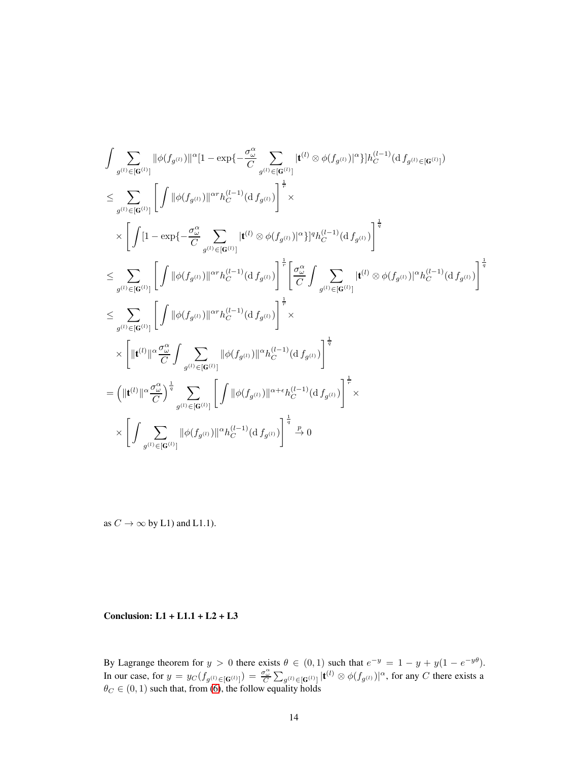$$
\begin{split} &\int \sum_{g^{(l)} \in [\mathbf{G}^{(l)}]} \|\phi(f_{g^{(l)}})\|^\alpha [1-\exp\{-\frac{\sigma_\omega^\alpha}{C}\sum_{g^{(l)} \in [\mathbf{G}^{(l)}]} [\mathbf{t}^{(l)} \otimes \phi(f_{g^{(l)}})]^\alpha\}] h_C^{(l-1)}(\mathrm{d} f_{g^{(l)}}\) \\ &\leq \sum_{g^{(l)} \in [\mathbf{G}^{(l)}]} \Bigg[ \int \|\phi(f_{g^{(l)}})\|^\alpha n_h_C^{(l-1)}(\mathrm{d} f_{g^{(l)}})\Bigg]^{\frac{1}{r}} \times \\ &\quad\times \Bigg[ \int [1-\exp\{-\frac{\sigma_\omega^\alpha}{C}\sum_{g^{(l)} \in [\mathbf{G}^{(l)}]} [\mathbf{t}^{(l)} \otimes \phi(f_{g^{(l)}})]^\alpha\}]^q h_C^{(l-1)}(\mathrm{d} f_{g^{(l)}})\Bigg]^{\frac{1}{q}} \\ &\leq \sum_{g^{(l)} \in [\mathbf{G}^{(l)}]} \Bigg[ \int \|\phi(f_{g^{(l)}})\|^\alpha n_h_C^{(l-1)}(\mathrm{d} f_{g^{(l)}})\Bigg]^{\frac{1}{r}} \Bigg[ \frac{\sigma_\omega^\alpha}{C} \int \sum_{g^{(l)} \in [\mathbf{G}^{(l)}]} [\mathbf{t}^{(l)} \otimes \phi(f_{g^{(l)}})]^\alpha n_C^{(l-1)}(\mathrm{d} f_{g^{(l)}})\Bigg]^{\frac{1}{q}} \\ &\leq \sum_{g^{(l)} \in [\mathbf{G}^{(l)}]} \Bigg[ \int \|\phi(f_{g^{(l)}})\|^\alpha n_h_C^{(l-1)}(\mathrm{d} f_{g^{(l)}})\Bigg]^{\frac{1}{r}} \times \\ &\quad\times \Bigg[ \|\mathbf{t}^{(l)}\|^\alpha \frac{\sigma_\omega^\alpha}{C} \int \sum_{g^{(l)} \in [\mathbf{G}^{(l)}]} \|\phi(f_{g^{(l)}})\|^\alpha n_C^{(l-1)}(\mathrm{d} f_{g^{(l)}})\Bigg]^{\frac{1}{q}} \\ &= \Big( \|\mathbf{t}^{(l)}\|^\alpha \frac{\sigma_\omega^\alpha}{C} \int^{\frac{1}{q}} \sum_{g^{(l)} \in [\mathbf{G}^{(l)}]} \Bigg[ \int \|\phi(f_{g^{(l)}})\|^\alpha n_C^{(
$$

as  $C \rightarrow \infty$  by L1) and L1.1).

### Conclusion: L1 + L1.1 + L2 + L3

By Lagrange theorem for  $y > 0$  there exists  $\theta \in (0,1)$  such that  $e^{-y} = 1 - y + y(1 - e^{-y\theta})$ . In our case, for  $y = y_C(f_{g^{(l)} \in [G^{(l)}]}) = \frac{\sigma_{\omega}^{\alpha}}{C} \sum_{g^{(l)} \in [G^{(l)}]} |t^{(l)} \otimes \phi(f_{g^{(l)}})|^{\alpha}$ , for any C there exists a  $\theta_C \in (0, 1)$  such that, from [\(6\)](#page-7-1), the follow equality holds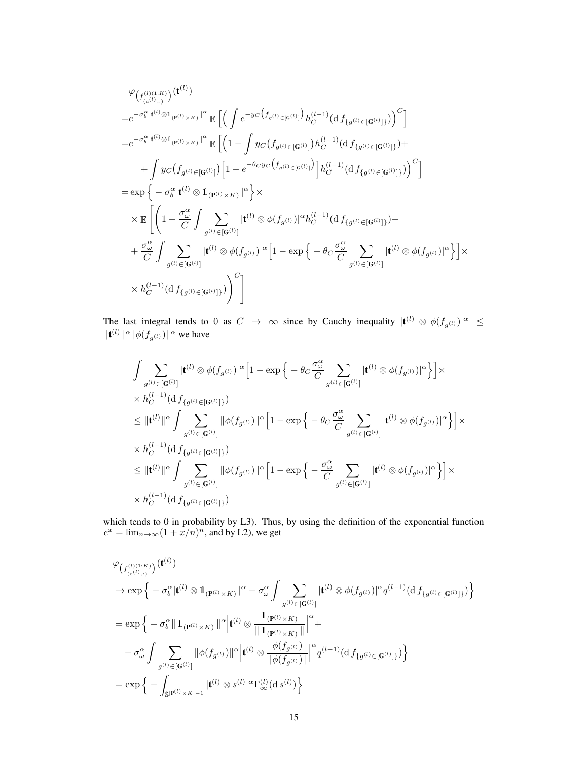$$
\varphi_{\left(f_{(c^{(l)},i)}^{(1,K)}\right)}(\mathbf{t}^{(l)})
$$
\n
$$
=e^{-\sigma_b^{\alpha}|(\mathbf{t}^{(l)}\otimes\mathbf{1}_{(\mathbf{P}^{(l)}\times K)}|^{\alpha}}\mathbb{E}\left[\left(\int e^{-yc\left(f_{g^{(l)}\in[\mathbf{G}^{(l)}]}\right)}h_C^{(l-1)}(\mathrm{d}\,f_{\{g^{(l)}\in[\mathbf{G}^{(l)}]})\right)^{C}\right]
$$
\n
$$
=e^{-\sigma_b^{\alpha}|(\mathbf{t}^{(l)}\otimes\mathbf{1}_{(\mathbf{P}^{(l)}\times K)}|^{\alpha}}\mathbb{E}\left[\left(1-\int y_C\left(f_{g^{(l)}\in[\mathbf{G}^{(l)}]}\right)h_C^{(l-1)}(\mathrm{d}\,f_{\{g^{(l)}\in[\mathbf{G}^{(l)}]})\right)+\right.\left.\left.\int y_C\left(f_{g^{(l)}\in[\mathbf{G}^{(l)}]}\right)\left[1-e^{-\theta_C y_C\left(f_{g^{(l)}\in[\mathbf{G}^{(l)}]}\right)}\right]h_C^{(l-1)}(\mathrm{d}\,f_{\{g^{(l)}\in[\mathbf{G}^{(l)}]}\right)\right)^{C}\right]
$$
\n
$$
= \exp\left\{-\sigma_b^{\alpha}|(\mathbf{t}^{(l)}\otimes\mathbf{1}_{(\mathbf{P}^{(l)}\times K)}|^{\alpha}\right\}\times
$$
\n
$$
\times \mathbb{E}\left[\left(1-\frac{\sigma_{\omega}^{\alpha}}{C}\int \sum_{g^{(l)}\in[\mathbf{G}^{(l)}]}\left|\mathbf{t}^{(l)}\otimes\phi(f_{g^{(l)}})\right|^{\alpha}h_C^{(l-1)}(\mathrm{d}\,f_{\{g^{(l)}\in[\mathbf{G}^{(l)}]})\right)+\right.
$$
\n
$$
+\frac{\sigma_{\omega}^{\alpha}}{C}\int \sum_{g^{(l)}\in[\mathbf{G}^{(l)}]}\left|\mathbf{t}^{(l)}\otimes\phi(f_{g^{(l)}})\right|^{\alpha}\left[1-\exp\left\{-\theta_C\frac{\sigma_{\omega}^{\alpha}}{C}\sum_{g^{(l)}\in[\mathbf{G}^{(l)}]}\left|\mathbf{t}
$$

The last integral tends to 0 as  $C \to \infty$  since by Cauchy inequality  $|t^{(l)} \otimes \phi(f_{g^{(l)}})|^{\alpha} \leq$  $\|\mathbf{t}^{(l)}\|^{\alpha}\|\phi(f_{g^{(l)}})\|^{\alpha}$  we have

$$
\begin{split} & \int \sum_{g^{(l)} \in [\mathbf{G}^{(l)}]} |\mathbf{t}^{(l)} \otimes \phi(f_{g^{(l)}})|^{\alpha} \Big[1 - \exp\Big\{-\theta_C \frac{\sigma_{\omega}^{\alpha}}{C} \sum_{g^{(l)} \in [\mathbf{G}^{(l)}]} |\mathbf{t}^{(l)} \otimes \phi(f_{g^{(l)}})|^{\alpha}\Big\}\Big] \times \\ & \times h_C^{(l-1)}(\mathrm{d}\, f_{\{g^{(l)} \in [\mathbf{G}^{(l)}]\}}) \\ & \leq \|\mathbf{t}^{(l)}\|^{\alpha} \int \sum_{g^{(l)} \in [\mathbf{G}^{(l)}]} \| \phi(f_{g^{(l)}}) \|^{\alpha} \Big[1 - \exp\Big\{-\theta_C \frac{\sigma_{\omega}^{\alpha}}{C} \sum_{g^{(l)} \in [\mathbf{G}^{(l)}]} |\mathbf{t}^{(l)} \otimes \phi(f_{g^{(l)}})|^{\alpha}\Big\}\Big] \times \\ & \times h_C^{(l-1)}(\mathrm{d}\, f_{\{g^{(l)} \in [\mathbf{G}^{(l)}]\}}) \\ & \leq \|\mathbf{t}^{(l)}\|^{\alpha} \int \sum_{g^{(l)} \in [\mathbf{G}^{(l)}]} \| \phi(f_{g^{(l)}}) \|^{\alpha} \Big[1 - \exp\Big\{-\frac{\sigma_{\omega}^{\alpha}}{C} \sum_{g^{(l)} \in [\mathbf{G}^{(l)}]} |\mathbf{t}^{(l)} \otimes \phi(f_{g^{(l)}})|^{\alpha}\Big\}\Big] \times \\ & \times h_C^{(l-1)}(\mathrm{d}\, f_{\{g^{(l)} \in [\mathbf{G}^{(l)}]\}}) \end{split}
$$

which tends to 0 in probability by L3). Thus, by using the definition of the exponential function  $e^x = \lim_{n \to \infty} (1 + \frac{x}{n})^n$ , and by L2), we get

$$
\varphi_{\left(f_{(c^{(1)},c)}^{(1)(1:K)}\right)}(\mathbf{t}^{(l)})
$$
\n
$$
\rightarrow \exp\left\{-\sigma_{b}^{\alpha}|\mathbf{t}^{(l)}\otimes\mathbb{1}_{(\mathbf{P}^{(1)}\times K)}|^{\alpha} - \sigma_{\omega}^{\alpha}\int\sum_{g^{(l)}\in[\mathbf{G}^{(l)}]}|\mathbf{t}^{(l)}\otimes\phi(f_{g^{(l)}})|^{\alpha}q^{(l-1)}(\mathrm{d}\,f_{\{g^{(l)}\in[\mathbf{G}^{(l)}]\}})\right\}
$$
\n
$$
= \exp\left\{-\sigma_{b}^{\alpha}|\!|\mathbb{1}_{(\mathbf{P}^{(l)}\times K)}\!|\!|^{\alpha}|\mathbf{t}^{(l)}\otimes\frac{\mathbb{1}_{(\mathbf{P}^{(l)}\times K)}|}{\|\mathbb{1}_{(\mathbf{P}^{(l)}\times K)}\|}\!|^{\alpha} + \right.
$$
\n
$$
-\sigma_{\omega}^{\alpha}\int\sum_{g^{(l)}\in[\mathbf{G}^{(l)}]} |\phi(f_{g^{(l)}})||^{\alpha}|\mathbf{t}^{(l)}\otimes\frac{\phi(f_{g^{(l)}})|}{\|\phi(f_{g^{(l)}})||}\!|^{\alpha}q^{(l-1)}(\mathrm{d}\,f_{\{g^{(l)}\in[\mathbf{G}^{(l)}]\}})\right\}
$$
\n
$$
= \exp\left\{-\int_{\mathbb{S}^{|\mathbf{P}^{(l)}\times K|^{-1}}|\mathbf{t}^{(l)}\otimes s^{(l)}|^{\alpha}\Gamma_{\infty}^{(l)}(\mathrm{d}\,s^{(l)})\right\}
$$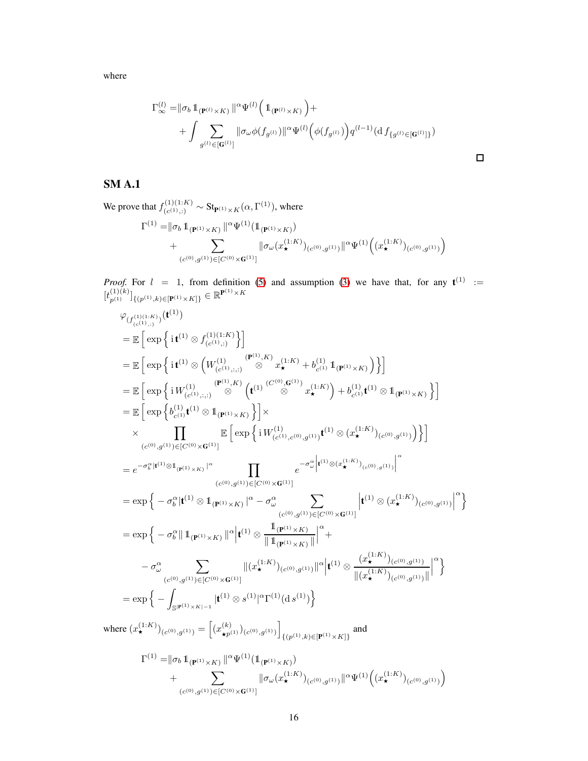where

$$
\Gamma_{\infty}^{(l)} = ||\sigma_b \, 1_{(\mathbf{P}^{(l)} \times K)} ||^{\alpha} \Psi^{(l)} \Big( 1_{(\mathbf{P}^{(l)} \times K)} \Big) + + \int \sum_{g^{(l)} \in [\mathbf{G}^{(l)}]} ||\sigma_{\omega} \phi(f_{g^{(l)}})||^{\alpha} \Psi^{(l)} \Big( \phi(f_{g^{(l)}}) \Big) q^{(l-1)} (\mathrm{d} f_{\{g^{(l)} \in [\mathbf{G}^{(l)}] \}}) \square
$$

### SM A.1

We prove that  $f_{(c^{(1)}, 1)}^{(1)(1:K)}$  $C_{(c^{(1)};.)}^{(1)(1:K)} \sim \text{St}_{\mathbf{P}^{(1)} \times K}(\alpha, \Gamma^{(1)}),$  where  $\Gamma^{(1)} = \parallel \! \sigma_{b} \, \mathbb{1}_{({\bf P}^{(1)} \times K)} \! \parallel^{\alpha} \! \Psi^{(1)} (\mathbb{1}_{({\bf P}^{(1)} \times K)})$  $+\qquad\qquad$  $(c^{(0)}, g^{(1)}) \in [C^{(0)} \times \mathbf{G}^{(1)}]$  $\|\sigma_\omega(x^{(1:K)}_{\star})_{(c^{(0)},g^{(1)})}\|^{\alpha} \Psi^{(1)}\left((x^{(1:K)}_{\star})_{(c^{(0)},g^{(1)})}\right)$ 

*Proof.* For  $l = 1$ , from definition [\(5\)](#page-2-5) and assumption [\(3\)](#page-2-4) we have that, for any  $t^{(1)} :=$  $[t_{p^{(1)}}^{(1)(k)}]_{\{(p^{(1)},k)\in[\mathbf{P}^{(1)}\times K]\}} \in \mathbb{R}^{\mathbf{P}^{(1)}\times K}$ 

$$
\varphi_{(f_{(c^{(1)},1)}^{(1)(1:K)})}(t^{(1)})
$$
\n
$$
= \mathbb{E}\left[\exp\left\{i t^{(1)} \otimes f_{(c^{(1)},i)}^{(1)(1:K)}\right\}\right]
$$
\n
$$
= \mathbb{E}\left[\exp\left\{i t^{(1)} \otimes \left(W_{(c^{(1)},i)}^{(1)(1:K)}\right)^{(\mathbf{P}^{(1)},K)} x_{\star}^{(1:K)} + b_{c^{(1)}}^{(1)} \mathbf{1}_{(\mathbf{P}^{(1)} \times K)}\right)\right\}\right]
$$
\n
$$
= \mathbb{E}\left[\exp\left\{i W_{(c^{(1)},i)}^{(1)} \otimes \mathbf{1}_{(\mathbf{P}^{(1)} \times K)}\right\}\right]
$$
\n
$$
= \mathbb{E}\left[\exp\left\{b_{c^{(1)}}^{(1)} t^{(1)} \otimes \mathbf{1}_{(\mathbf{P}^{(1)} \times K)}\right\}\right]
$$
\n
$$
\times \prod_{(c^{(0)},g^{(1)}) \in [C^{(0)} \times G^{(1)}]} \mathbb{E}\left[\exp\left\{i W_{(c^{(1)},c^{(0)},g^{(1)})}^{(1)} t^{(1)} \otimes (x_{\star}^{(1:K)})_{(c^{(0)},g^{(1)})}\right)\right\}\right]
$$
\n
$$
= e^{-\sigma_{b}^{2} |t^{(1)} \otimes \mathbf{1}_{(\mathbf{P}^{(1)} \times K)}|^{c}} \prod_{(c^{(0)},g^{(1)}) \in [C^{(0)} \times G^{(1)}]} e^{-\sigma_{a}^{2} |t^{(1)} \otimes (x_{\star}^{(1:K)})_{(c^{(0)},g^{(1)})}\right|^{c}} \tag{c),
$$
\n
$$
= \exp\left\{-\sigma_{b}^{2} |t^{(1)} \otimes \mathbf{1}_{(\mathbf{P}^{(1)} \times K)}|^{c} - \sigma_{a}^{2} \sum_{(c^{(0)},g^{(1)}) \in [C^{(0)} \times G^{(1)}]} \left|t^{(1)} \otimes (x_{\star}^{(1:K)})_{(c^{(0)},g^{(1)})}|^{c}\right\}\right\}
$$
\n
$$
= \exp\left\{-\sigma_{b}^{2}
$$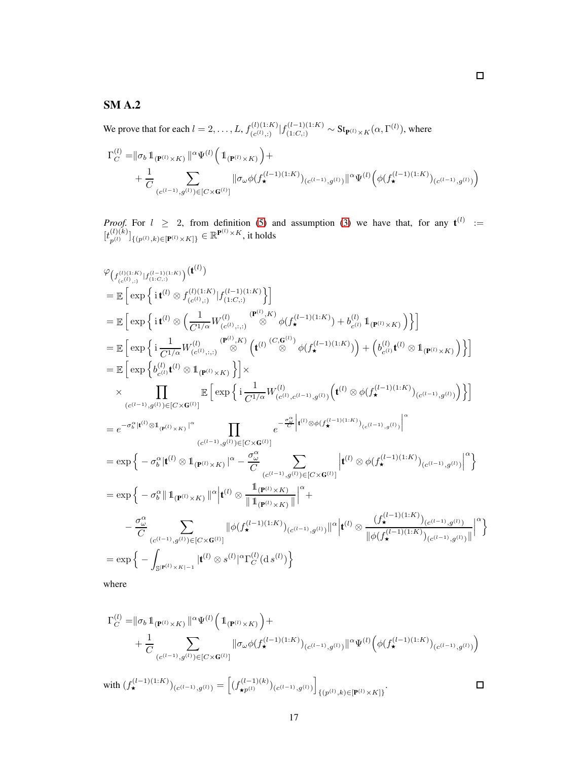## SM A.2

We prove that for each  $l = 2, \ldots, L, f_{(c(l))}^{(l)(1:K)}$  $\int_{(c^{(l)}(t))}^{(l)(1:K)} |f_{(1:C,:)}^{(l-1)(1:K)} \sim \text{St}_{\mathbf{P}^{(l)} \times K}(\alpha, \Gamma^{(l)}),$  where

$$
\begin{split} \Gamma_C^{(l)} = & \|\sigma_b \, \mathbb{1}_{(\mathbf{P}^{(l)} \times K)} \, \|^\alpha \Psi^{(l)} \Big( \, \mathbb{1}_{(\mathbf{P}^{(l)} \times K)} \Big) + \\ & + \frac{1}{C} \sum_{(c^{(l-1)}, g^{(l)}) \in [C \times \mathbf{G}^{(l)}]} \| \sigma_\omega \phi(f_\star^{(l-1)(1:K)})_{(c^{(l-1)}, g^{(l)})} \|^\alpha \Psi^{(l)} \Big( \phi(f_\star^{(l-1)(1:K)})_{(c^{(l-1)}, g^{(l)})} \Big) \end{split}
$$

*Proof.* For  $l \geq 2$ , from definition [\(5\)](#page-2-5) and assumption [\(3\)](#page-2-4) we have that, for any  $t^{(l)} :=$  $[t_{n(l)}^{(l)(k)}]$  ${}_{p^{(l)}}^{(l)(k)}]_{\{(p^{(l)},k)\in[\mathbf{P}^{(l)}\times K]\}}\in\mathbb{R}^{\mathbf{P}^{(l)}\times K}$ , it holds

$$
\varphi_{\left(f_{(c^{(1),K)}}^{(1)(1,K)}|f_{(1:c,:)}^{(1-i)(1:K)}\right)}(\mathbf{t}^{(l)})
$$
\n
$$
= \mathbb{E}\left[\exp\left\{\mathbf{i}\,\mathbf{t}^{(l)}\otimes f_{(c^{(l)},:)}^{(l)(1:K)}|f_{(1:C,:)}^{(l-1)(1:K)}\right\}\right]
$$
\n
$$
= \mathbb{E}\left[\exp\left\{\mathbf{i}\,\mathbf{t}^{(l)}\otimes \left(\frac{1}{C^{1/\alpha}}W_{(c^{(l)},:,:)}^{(l)}\otimes \phi(f_{\mathbf{x}}^{(l-1)(1:K)})+b_{c^{(l)}}^{(l)}\mathbbm{1}_{(\mathbf{P}^{(l)}\times K)}\right)\right\}\right]
$$
\n
$$
= \mathbb{E}\left[\exp\left\{\mathbf{i}\,\frac{1}{C^{1/\alpha}}W_{(c^{(l)},:,:)}^{(l)}\otimes K\left(\mathbf{t}^{(l)}\otimes \phi(f_{\mathbf{x}}^{(l-1)(1:K)})\right)+\left(b_{c^{(l)}}^{(l)}\mathbbm{1}_{(\mathbf{P}^{(l)}\times K)}\right)\right\}\right]
$$
\n
$$
= \mathbb{E}\left[\exp\left\{\mathbf{i}\frac{1}{C^{1/\alpha}}W_{(c^{(l)},:,:)}^{(l)}\otimes \mathbbm{1}_{(\mathbf{P}^{(l)}\times K)}\right\}\right]\times
$$
\n
$$
\times \prod_{(c^{(l-1)},g^{(l)})\in[C\times\mathbf{G}^{(l)}]} \mathbb{E}\left[\exp\left\{\mathbf{i}\frac{1}{C^{1/\alpha}}W_{(c^{(l)},c^{(l-1)},g^{(l)})}^{(l)}\left(\mathbf{t}^{(l)}\otimes \phi(f_{\mathbf{x}}^{(l-1)(1:K)})_{(c^{(l-1)},g^{(l)})}\right)\right\}\right]
$$
\n
$$
= e^{-\sigma_{b}^{2}\mathbbm{1}}\mathbf{i}^{(l)}\otimes\mathbbm{1}_{(\mathbf{P}^{(l)}\times K)}\left[\mathbbm{1}_{(\mathbf{C}^{(l-1)},g^{(l)})\in[C\times\mathbf{G}^{(l)}]}\right]
$$
\n
$$
= \exp\left\{-\sigma_{
$$

where

$$
\Gamma_C^{(l)} = ||\sigma_b \mathbb{1}_{(\mathbf{P}^{(l)} \times K)} ||^{\alpha} \Psi^{(l)} \Big( \mathbb{1}_{(\mathbf{P}^{(l)} \times K)} \Big) + + \frac{1}{C} \sum_{(c^{(l-1)}, g^{(l)}) \in [C \times \mathbf{G}^{(l)}]} ||\sigma_\omega \phi(f_\star^{(l-1)(1:K)})_{(c^{(l-1)}, g^{(l)})} ||^{\alpha} \Psi^{(l)} \Big( \phi(f_\star^{(l-1)(1:K)})_{(c^{(l-1)}, g^{(l)})} \Big)
$$

with  $(f_{\star}^{(l-1)(1:K)})_{(c^{(l-1)},g^{(l)})} = \left[ (f_{\star p^{(l)}}^{(l-1)(k)})_{(c^{(l-1)},g^{(l)})} \right]$  $\Box$  $\{(p^{(l)},k)\in[{\bf P}^{(l)}\times K]\}$ .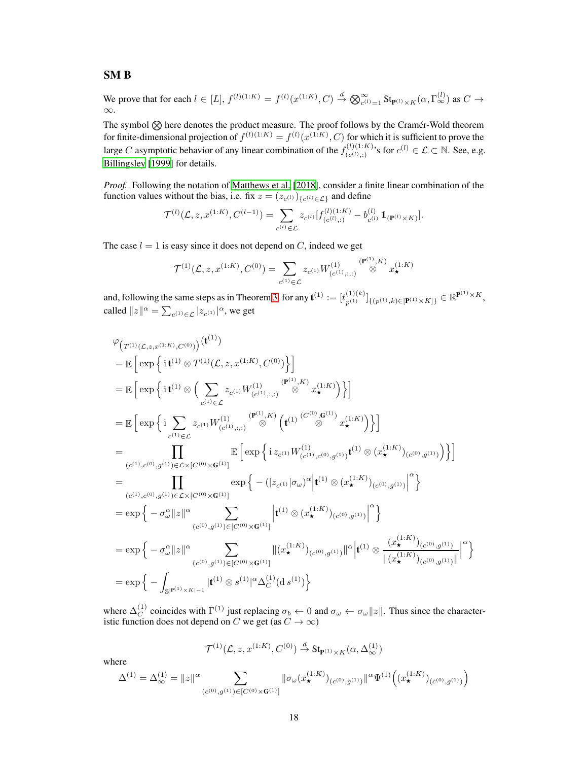### SM B

We prove that for each  $l \in [L]$ ,  $f^{(l)(1:K)} = f^{(l)}(x^{(1:K)}, C) \stackrel{d}{\rightarrow} \bigotimes_{c^{(l)}=1}^{\infty} \text{St}_{\mathbf{P}^{(l)} \times K}(\alpha, \Gamma_{\infty}^{(l)})$  as  $C \rightarrow$ ∞.

The symbol  $\otimes$  here denotes the product measure. The proof follows by the Cramér-Wold theorem for finite-dimensional projection of  $f^{(l)(1:K)} = f^{(l)}(x^{(1:K)}, C)$  for which it is sufficient to prove the large C asymptotic behavior of any linear combination of the  $f_{(c(1), 1)}^{(l)(1:K)}$  $(c^{(l)}(c^{(l)}))$ 's for  $c^{(l)} \in \mathcal{L} \subset \mathbb{N}$ . See, e.g. [Billingsley \[1999\]](#page-3-3) for details.

*Proof.* Following the notation of [Matthews et al.](#page-4-2) [\[2018\]](#page-4-2), consider a finite linear combination of the function values without the bias, i.e. fix  $z = (z_{c^{(l)}})_{\{c^{(l)} \in \mathcal{L}\}}$  and define

$$
\mathcal{T}^{(l)}(\mathcal{L}, z, x^{(1:K)}, C^{(l-1)}) = \sum_{c^{(l)} \in \mathcal{L}} z_{c^{(l)}} [f_{(c^{(l)}, :)}^{(l)(1:K)} - b_{c^{(l)}}^{(l)} 1\!\!1_{(\mathbf{P}^{(l)} \times K)}].
$$

The case  $l = 1$  is easy since it does not depend on C, indeed we get

$$
\mathcal{T}^{(1)}(\mathcal{L}, z, x^{(1:K)}, C^{(0)}) = \sum_{c^{(1)} \in \mathcal{L}} z_{c^{(1)}} W^{(1)}_{(c^{(1)}, :, ;)} \overset{(\mathbf{P}^{(1)}, K)}{\otimes} x^{(1:K)}_{\star}
$$

and, following the same steps as in Theorem [3,](#page-6-1) for any  $\mathbf{t}^{(1)} := [t_{p^{(1)}}^{(1)(k)}]_{\{(p^{(1)},k)\in[\mathbf{P}^{(1)}\times K]\}} \in \mathbb{R}^{\mathbf{P}^{(1)}\times K}$ , called  $||z||^{\alpha} = \sum_{c^{(1)} \in \mathcal{L}} |z_{c^{(1)}}|^{\alpha}$ , we get

$$
\varphi_{\left(T^{(1)}(\mathcal{L},z,x^{(1:K)},C^{(0)})\right)}(\mathbf{t}^{(1)})
$$
\n
$$
= \mathbb{E}\left[\exp\left\{\mathbf{i}\mathbf{t}^{(1)}\otimes T^{(1)}(\mathcal{L},z,x^{(1:K)},C^{(0)})\right\}\right]
$$
\n
$$
= \mathbb{E}\left[\exp\left\{\mathbf{i}\mathbf{t}^{(1)}\otimes\left(\sum_{c^{(1)}\in\mathcal{L}}z_{c^{(1)}}W_{(c^{(1)},;;)}^{(1)}\otimes\mathbf{x}^{(1:K)}_{\star}\right)\right\}\right]
$$
\n
$$
= \mathbb{E}\left[\exp\left\{\mathbf{i}\sum_{c^{(1)}\in\mathcal{L}}z_{c^{(1)}}W_{(c^{(1)},;;)}^{(1)}\otimes\mathbf{x}^{(1:K)}_{\star}\right(\mathbf{t}^{(1)}\otimes\mathbf{x}^{(1:K)}_{\star})\right\}\right]
$$
\n
$$
= \prod_{(c^{(1)},c^{(0)},g^{(1)})\in\mathcal{L}\times[C^{(0)}\times\mathbf{G}^{(1)}]} \mathbb{E}\left[\exp\left\{\mathbf{i}z_{c^{(1)}}W_{(c^{(1)},c^{(0)},g^{(1)})}^{(1)}\mathbf{t}^{(1)}\otimes(x^{(1:K)}_{\star})_{(c^{(0)},g^{(1)})}\right)\right\}]
$$
\n
$$
= \prod_{(c^{(1)},c^{(0)},g^{(1)})\in\mathcal{L}\times[C^{(0)}\times\mathbf{G}^{(1)}]} \exp\left\{-\left(|z_{c^{(1)}}|\sigma_{\omega}\right)^{\alpha}|\mathbf{t}^{(1)}\otimes(x^{(1:K)}_{\star})_{(c^{(0)},g^{(1)})}\right|^{\alpha}\right\}
$$
\n
$$
= \exp\left\{-\sigma_{\omega}^{\alpha}\|z\|^{\alpha}\sum_{(c^{(0)},g^{(1)})\in[C^{(0)}\times\mathbf{G}^{(1)}]} \left|\mathbf{t}^{(1)}\otimes(x^{(1:K)}_{\star})_{(c^{(0)},g^{(1)})}\right|^{\alpha}\right\}
$$
\n
$$
= \exp\left\{-\sigma_{\omega}^{\alpha}\|z\|^{\alpha}\sum_{(c^{(
$$

where  $\Delta_C^{(1)}$ <sup>(1)</sup> coincides with  $\Gamma^{(1)}$  just replacing  $\sigma_b \leftarrow 0$  and  $\sigma_{\omega} \leftarrow \sigma_{\omega} ||z||$ . Thus since the characteristic function does not depend on C we get (as  $C \to \infty$ )

$$
\mathcal{T}^{(1)}(\mathcal{L},z,x^{(1:K)},C^{(0)})\overset{d}{\to} \mathrm{St}_{\mathbf{P}^{(1)}\times K}(\alpha,\Delta_{\infty}^{(1)})
$$

where

$$
\Delta^{(1)}=\Delta^{(1)}_\infty=\|z\|^\alpha\sum_{(c^{(0)},g^{(1)})\in[C^{(0)}\times\mathbf{G}^{(1)}]} \|\sigma_\omega(x_\star^{(1:K)})_{(c^{(0)},g^{(1)})}\|^{\alpha}\Psi^{(1)}\Big((x_\star^{(1:K)})_{(c^{(0)},g^{(1)})}\Big)
$$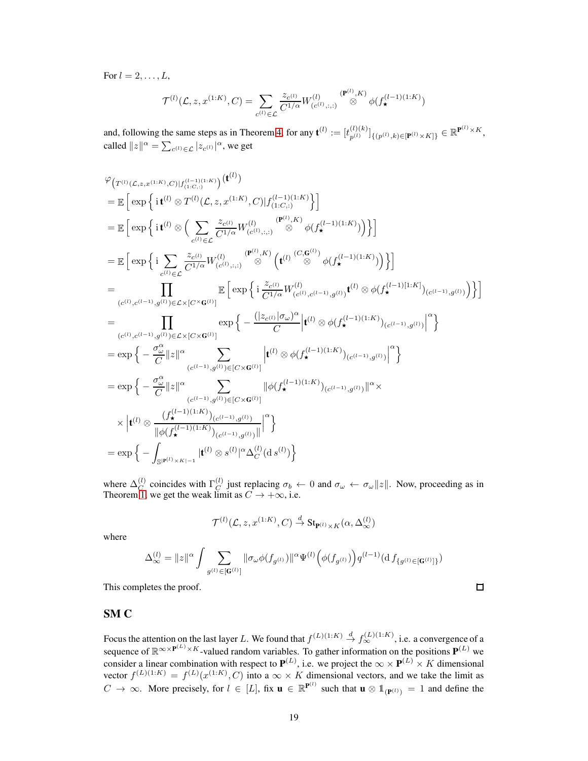For  $l = 2, \ldots, L$ ,

$$
\mathcal{T}^{(l)}(\mathcal{L}, z, x^{(1:K)}, C) = \sum_{c^{(l)} \in \mathcal{L}} \frac{z_{c^{(l)}}}{C^{1/\alpha}} W^{(l)}_{(c^{(l)}, :, ;)} \stackrel{(\mathbf{P}^{(l)}, K)}{\otimes} \phi(f_{\star}^{(l-1)(1:K)})
$$

and, following the same steps as in Theorem [4,](#page-6-0) for any  $\mathbf{t}^{(l)} := [t_{n^{(l)}}^{(l)(k)}]$  ${}_{p^{(l)}}^{(l)(k)}]_{\{(p^{(l)},k)\in[\mathbf{P}^{(l)}\times K]\}}\in\mathbb{R}^{\mathbf{P}^{(l)}\times K},$ called  $||z||^{\alpha} = \sum_{c^{(l)} \in \mathcal{L}} |z_{c^{(l)}}|^{\alpha}$ , we get

$$
\varphi_{\left(T^{(l)}(\mathcal{L},z,x^{(1:K)},C)\right)f_{(1:C,:)}^{(l-1)(1:K)}\right)}(\mathbf{t}^{(l)})
$$
\n
$$
= \mathbb{E}\left[\exp\left\{\mathbf{i}\,\mathbf{t}^{(l)}\otimes T^{(l)}(\mathcal{L},z,x^{(1:K)},C)\big|f_{(1:C,:)}^{(l-1)(1:K)}\right\}\right]
$$
\n
$$
= \mathbb{E}\left[\exp\left\{\mathbf{i}\,\mathbf{t}^{(l)}\otimes\left(\sum_{c^{(l)}\in\mathcal{L}}\frac{z_{c^{(l)}}}{C^{1/\alpha}}W_{(c^{(l)},::)}^{(l)}\otimes\phi(f_{\mathbf{x}}^{(l-1)(1:K)})\right)\right\}\right]
$$
\n
$$
= \mathbb{E}\left[\exp\left\{\mathbf{i}\sum_{c^{(l)}\in\mathcal{L}}\frac{z_{c^{(l)}}}{C^{1/\alpha}}W_{(c^{(l)},::)}^{(l)}\otimes\phi(f_{\mathbf{x}}^{(l-1)(1:K)})\right)\right\}\right]
$$
\n
$$
= \mathbb{E}\left[\exp\left\{\mathbf{i}\sum_{c^{(l)}\in\mathcal{L}}\frac{z_{c^{(l)}}}{C^{1/\alpha}}W_{(c^{(l)},::)}^{(l)}\otimes\phi(f_{\mathbf{x}}^{(l-1)(1:K)})\right\}\right]
$$
\n
$$
= \mathbb{E}\left[\exp\left\{\mathbf{i}\sum_{c^{(l)}\in\mathcal{L}}\frac{z_{c^{(l)}}}{C^{1/\alpha}}W_{(c^{(l)},c^{(l-1)},g^{(l)})}^{(l)}\right\}W_{(c^{(l-1)}),g^{(l)})}^{(l)}\right\}
$$
\n
$$
= \exp\left\{-\frac{\exp\left\{-\frac{(|z_{c^{(l)}}|\sigma_{\omega})^{\alpha}}{C}\right|}{\sum_{(c^{(l-1)},g^{(l)})\in\mathcal{L}\times\mathcal{G}^{(l)}|}\left|\mathbf{t}^{(l)}\otimes\phi(f_{\mathbf{x}}^{(l-1)(1:K)})_{(c^{(l-1)},g^{(l)})}\right|^{\alpha}\right\}
$$
\n
$$
= \exp\left\{-\frac{\sigma_{\omega}^{\alpha}}{C}\|\mathbf{
$$

where  $\Delta_C^{(l)}$  $\mathcal{C}^{(l)}$  coincides with  $\Gamma_C^{(l)}$  $C_C^{(t)}$  just replacing  $\sigma_b \leftarrow 0$  and  $\sigma_\omega \leftarrow \sigma_\omega ||z||$ . Now, proceeding as in Theorem [1,](#page-3-4) we get the weak limit as  $C \rightarrow +\infty$ , i.e.

$$
\mathcal{T}^{(l)}(\mathcal{L}, z, x^{(1:K)}, C) \stackrel{d}{\rightarrow} \text{St}_{\mathbf{P}^{(l)} \times K}(\alpha, \Delta_{\infty}^{(l)})
$$

where

$$
\Delta_{\infty}^{(l)} = \|z\|^{\alpha} \int \sum_{g^{(l)} \in [\mathbf{G}^{(l)}]} \|\sigma_{\omega}\phi(f_{g^{(l)}})\|^{\alpha} \Psi^{(l)}\Big(\phi(f_{g^{(l)}})\Big) q^{(l-1)} (\mathrm{d}\, f_{\{g^{(l)} \in [\mathbf{G}^{(l)}]\}})
$$

This completes the proof.

### SM C

Focus the attention on the last layer L. We found that  $f^{(L)(1:K)} \stackrel{d}{\to} f^{(L)(1:K)}_{\infty}$ , i.e. a convergence of a sequence of  $\mathbb{R}^{\infty} \times P^{(L)} \times K$ -valued random variables. To gather information on the positions  $\mathbf{P}^{(L)}$  we consider a linear combination with respect to  $\mathbf{P}^{(L)}$ , i.e. we project the  $\infty \times \mathbf{P}^{(L)} \times K$  dimensional vector  $f^{(L)(1:K)} = f^{(L)}(x^{(1:K)}, C)$  into a  $\infty \times K$  dimensional vectors, and we take the limit as  $C \to \infty$ . More precisely, for  $l \in [L]$ , fix  $\mathbf{u} \in \mathbb{R}^{P^{(l)}}$  such that  $\mathbf{u} \otimes \mathbb{1}_{(P^{(l)})} = 1$  and define the

 $\Box$